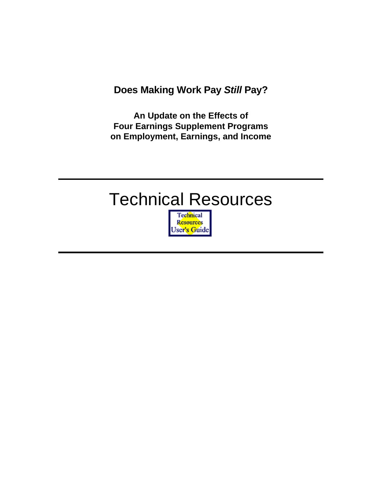**Does Making Work Pay** *Still* **Pay?** 

**An Update on the Effects of Four Earnings Supplement Programs on Employment, Earnings, and Income** 

## Technical Resources

Technical **Resources** User's Guide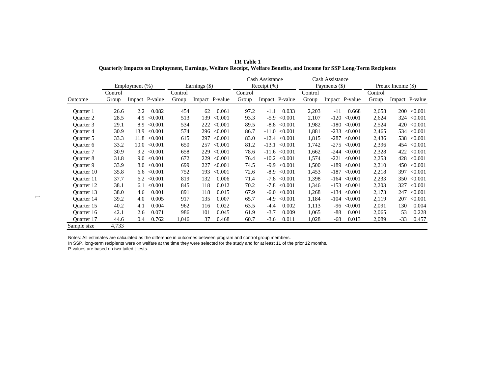|                   |         |                |                |         |                |         | Cash Assistance |                |                   | Cash Assistance |               |                |         |                    |                |
|-------------------|---------|----------------|----------------|---------|----------------|---------|-----------------|----------------|-------------------|-----------------|---------------|----------------|---------|--------------------|----------------|
|                   |         | Employment (%) |                |         | Earnings (\$)  |         |                 | Receipt $(\%)$ |                   |                 | Payments (\$) |                |         | Pretax Income (\$) |                |
|                   | Control |                |                | Control |                |         | Control         |                |                   | Control         |               |                | Control |                    |                |
| Outcome           | Group   |                | Impact P-value | Group   | Impact P-value |         | Group           |                | Impact P-value    | Group           |               | Impact P-value | Group   |                    | Impact P-value |
| Ouarter 1         | 26.6    | 2.2            | 0.082          | 454     | 62             | 0.061   | 97.2            | $-1.1$         | 0.033             | 2,203           | -11           | 0.668          | 2,658   | 200                | < 0.001        |
| <b>Ouarter 2</b>  | 28.5    | 4.9            | < 0.001        | 513     | 139            | < 0.001 | 93.3            | $-5.9$         | < 0.001           | 2,107           | $-120$        | < 0.001        | 2,624   | 324                | < 0.001        |
| Ouarter 3         | 29.1    | 8.9            | < 0.001        | 534     | 222            | < 0.001 | 89.5            | $-8.8$         | < 0.001           | 1,982           | -180          | < 0.001        | 2,524   | 420                | < 0.001        |
| <b>Ouarter 4</b>  | 30.9    | 13.9           | < 0.001        | 574     | 296            | < 0.001 | 86.7            | $-11.0$        | < 0.001           | 1,881           | $-233$        | < 0.001        | 2,465   | 534                | < 0.001        |
| Ouarter 5         | 33.3    | 11.8           | < 0.001        | 615     | 297            | < 0.001 | 83.0            | $-12.4$        | < 0.001           | 1,815           | $-287$        | < 0.001        | 2,436   | 538                | < 0.001        |
| Quarter 6         | 33.2    | 10.0           | < 0.001        | 650     | 257            | < 0.001 | 81.2            | $-13.1$        | < 0.001           | 1,742           | $-275$        | < 0.001        | 2,396   | 454                | < 0.001        |
| <b>Ouarter</b> 7  | 30.9    | 9.2            | < 0.001        | 658     | 229            | < 0.001 | 78.6            |                | $-11.6 \le 0.001$ | 1,662           |               | $-244 < 0.001$ | 2,328   | 422                | < 0.001        |
| <b>Ouarter 8</b>  | 31.8    | 9.0            | < 0.001        | 672     | 229            | < 0.001 | 76.4            | $-10.2$        | < 0.001           | 1,574           | $-221$        | < 0.001        | 2,253   | 428                | < 0.001        |
| Quarter 9         | 33.9    | 8.0            | < 0.001        | 699     | 227            | < 0.001 | 74.5            | $-9.9$         | < 0.001           | 1,500           | -189          | < 0.001        | 2,210   | 450                | < 0.001        |
| Quarter 10        | 35.8    | 6.6            | < 0.001        | 752     | 193            | < 0.001 | 72.6            | $-8.9$         | < 0.001           | 1,453           |               | $-187 < 0.001$ | 2,218   | 397                | < 0.001        |
| Ouarter 11        | 37.7    | 6.2            | < 0.001        | 819     | 132            | 0.006   | 71.4            | $-7.8$         | < 0.001           | 1,398           | -164          | < 0.001        | 2,233   | 350                | < 0.001        |
| Ouarter 12        | 38.1    | 6.1            | < 0.001        | 845     | 118            | 0.012   | 70.2            | $-7.8$         | < 0.001           | 1,346           | $-153$        | < 0.001        | 2,203   | 327                | < 0.001        |
| Ouarter 13        | 38.0    | 4.6            | 0.001          | 891     | 118            | 0.015   | 67.9            | $-6.0$         | < 0.001           | 1,268           |               | $-134 < 0.001$ | 2,173   | 247                | < 0.001        |
| <b>Ouarter</b> 14 | 39.2    | 4.0            | 0.005          | 917     | 135            | 0.007   | 65.7            | $-4.9$         | < 0.001           | 1,184           |               | $-104 < 0.001$ | 2,119   | 207                | < 0.001        |
| Ouarter 15        | 40.2    | 4.1            | 0.004          | 962     | 116            | 0.022   | 63.5            | $-4.4$         | 0.002             | 1,113           |               | $-96 < 0.001$  | 2,091   | 130                | 0.004          |
| Ouarter 16        | 42.1    | 2.6            | 0.071          | 986     | 101            | 0.045   | 61.9            | $-3.7$         | 0.009             | 1,065           | -88           | 0.001          | 2,065   | 53                 | 0.228          |
| <b>Ouarter</b> 17 | 44.6    | 0.4            | 0.762          | 1,046   | 37             | 0.468   | 60.7            | $-3.6$         | 0.011             | 1,028           | -68           | 0.013          | 2,089   | $-33$              | 0.457          |
| Sample size       | 4,733   |                |                |         |                |         |                 |                |                   |                 |               |                |         |                    |                |

**TR Table 1 Quarterly Impacts on Employment, Earnings, Welfare Receipt, Welfare Benefits, and Income for SSP Long-Term Recipients**

In SSP, long-term recipients were on welfare at the time they were selected for the study and for at least 11 of the prior 12 months.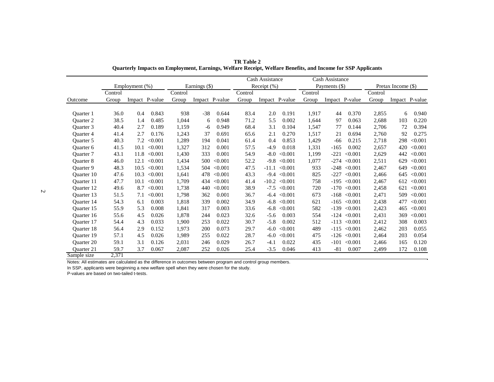|                   |         |                |         |         |               |                |         | Cash Assistance |                |         | Cash Assistance |                  |         |                    |                |
|-------------------|---------|----------------|---------|---------|---------------|----------------|---------|-----------------|----------------|---------|-----------------|------------------|---------|--------------------|----------------|
|                   |         | Employment (%) |         |         | Earnings (\$) |                |         | Receipt $(\% )$ |                |         | Payments (\$)   |                  |         | Pretax Income (\$) |                |
|                   | Control |                |         | Control |               |                | Control |                 |                | Control |                 |                  | Control |                    |                |
| Outcome           | Group   | Impact P-value |         | Group   |               | Impact P-value | Group   |                 | Impact P-value | Group   |                 | Impact P-value   | Group   |                    | Impact P-value |
|                   |         |                |         |         |               |                |         |                 |                |         |                 |                  |         |                    |                |
| <b>Ouarter</b> 1  | 36.0    | 0.4            | 0.843   | 938     | $-38$         | 0.644          | 83.4    | 2.0             | 0.191          | 1,917   | 44              | 0.370            | 2,855   | 6                  | 0.940          |
| <b>Ouarter 2</b>  | 38.5    | 1.4            | 0.485   | 1,044   | 6             | 0.948          | 71.2    | 5.5             | 0.002          | 1,644   | 97              | 0.063            | 2,688   | 103                | 0.220          |
| Ouarter 3         | 40.4    | 2.7            | 0.189   | 1,159   | -6            | 0.949          | 68.4    | 3.1             | 0.104          | 1,547   | 77              | 0.144            | 2,706   | 72                 | 0.394          |
| <b>Ouarter 4</b>  | 41.4    | 2.7            | 0.176   | 1,243   | 37            | 0.691          | 65.6    | 2.1             | 0.270          | 1,517   | 21              | 0.694            | 2,760   | 92                 | 0.275          |
| Ouarter 5         | 40.3    | 7.2            | < 0.001 | 1,289   | 194           | 0.041          | 61.4    | 0.4             | 0.853          | 1,429   | -66             | 0.215            | 2,718   | 298                | < 0.001        |
| Quarter 6         | 41.5    | 10.1           | < 0.001 | 1,327   | 312           | 0.001          | 57.5    | $-4.9$          | 0.018          | 1,331   | $-165$          | 0.002            | 2,657   | 420                | < 0.001        |
| <b>Ouarter</b> 7  | 43.1    | 11.8           | < 0.001 | 1,430   | 333           | 0.001          | 54.9    | $-8.0$          | < 0.001        | 1,199   | $-221$          | < 0.001          | 2,629   | 442                | < 0.001        |
| <b>Ouarter 8</b>  | 46.0    | 12.1           | < 0.001 | 1,434   | 500           | < 0.001        | 52.2    | $-9.8$          | < 0.001        | 1,077   | $-274$          | < 0.001          | 2,511   | 629                | < 0.001        |
| Ouarter 9         | 48.3    | 10.5           | < 0.001 | 1,534   | 504           | < 0.001        | 47.5    | $-11.1$         | < 0.001        | 933     | $-248$          | < 0.001          | 2,467   | 649                | < 0.001        |
| Ouarter 10        | 47.6    | 10.3           | < 0.001 | 1.641   | 478           | < 0.001        | 43.3    | $-9.4$          | < 0.001        | 825     | $-227$          | < 0.001          | 2,466   | 645                | < 0.001        |
| Ouarter 11        | 47.7    | 10.1           | < 0.001 | 1,709   | 434           | < 0.001        | 41.4    | $-10.2$         | < 0.001        | 758     | $-195$          | < 0.001          | 2,467   | 612                | < 0.001        |
| Ouarter 12        | 49.6    | 8.7            | < 0.001 | 1,738   | 440           | < 0.001        | 38.9    | $-7.5$          | < 0.001        | 720     | $-170$          | < 0.001          | 2,458   | 621                | < 0.001        |
| Quarter 13        | 51.5    | 7.1            | < 0.001 | 1,798   | 362           | 0.001          | 36.7    | $-6.4$          | < 0.001        | 673     | $-168$          | < 0.001          | 2,471   | 509                | < 0.001        |
| Ouarter 14        | 54.3    | 6.1            | 0.003   | 1.818   | 339           | 0.002          | 34.9    | $-6.8$          | < 0.001        | 621     | $-165$          | < 0.001          | 2,438   | 477                | < 0.001        |
| Ouarter 15        | 55.9    | 5.3            | 0.008   | 1,841   | 317           | 0.003          | 33.6    | $-6.8$          | < 0.001        | 582     | $-139$          | < 0.001          | 2,423   | 465                | < 0.001        |
| Ouarter 16        | 55.6    | 4.5            | 0.026   | 1,878   | 244           | 0.023          | 32.6    | $-5.6$          | 0.003          | 554     | $-124$          | < 0.001          | 2,431   | 369                | < 0.001        |
| Ouarter 17        | 54.4    | 4.3            | 0.033   | 1.900   | 253           | 0.022          | 30.7    | $-5.8$          | 0.002          | 512     | $-113$          | < 0.001          | 2,412   | 308                | 0.003          |
| Ouarter 18        | 56.4    | 2.9            | 0.152   | 1,973   | 200           | 0.073          | 29.7    | $-6.0$          | < 0.001        | 489     | $-115$          | < 0.001          | 2,462   | 203                | 0.055          |
| Ouarter 19        | 57.1    | 4.5            | 0.026   | 1,989   | 255           | 0.022          | 28.7    | $-6.0$          | < 0.001        | 475     |                 | $-126 \le 0.001$ | 2,464   | 203                | 0.054          |
| <b>Ouarter 20</b> | 59.1    | 3.1            | 0.126   | 2,031   | 246           | 0.029          | 26.7    | $-4.1$          | 0.022          | 435     | $-101$          | < 0.001          | 2,466   | 165                | 0.120          |
| Quarter 21        | 59.7    | 3.7            | 0.067   | 2,087   | 252           | 0.026          | 25.4    | $-3.5$          | 0.046          | 413     | $-81$           | 0.007            | 2,499   | 172                | 0.108          |
| Sample size       | 2,371   |                |         |         |               |                |         |                 |                |         |                 |                  |         |                    |                |

**TR Table 2Quarterly Impacts on Employment, Earnings, Welfare Receipt, Welfare Benefits, and Income for SSP Applicants**

In SSP, applicants were beginning a new welfare spell when they were chosen for the study.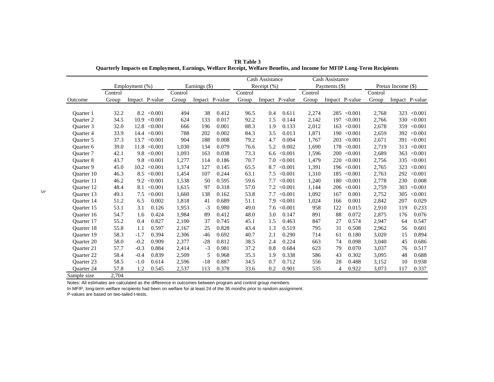|                   |         |                |         |         |               |                |         | Cash Assistance |         |         | Cash Assistance |                 |         |                    |         |
|-------------------|---------|----------------|---------|---------|---------------|----------------|---------|-----------------|---------|---------|-----------------|-----------------|---------|--------------------|---------|
|                   |         | Employment (%) |         |         | Earnings (\$) |                |         | Receipt $(\% )$ |         |         | Payments (\$)   |                 |         | Pretax Income (\$) |         |
|                   | Control |                |         | Control |               |                | Control |                 |         | Control |                 |                 | Control |                    |         |
| Outcome           | Group   | Impact P-value |         | Group   |               | Impact P-value | Group   | Impact P-value  |         | Group   |                 | Impact P-value  | Group   | Impact P-value     |         |
|                   |         |                |         |         |               |                |         |                 |         |         |                 |                 |         |                    |         |
| <b>Ouarter</b> 1  | 32.2    | 8.2            | < 0.001 | 494     | 38            | 0.412          | 96.5    | 0.4             | 0.611   | 2,274   |                 | $285 \le 0.001$ | 2,768   | 323                | < 0.001 |
| <b>Ouarter 2</b>  | 34.5    | 10.9           | < 0.001 | 624     | 133           | 0.017          | 92.2    | 1.5             | 0.144   | 2.142   | 197             | < 0.001         | 2,766   | 330                | < 0.001 |
| <b>Ouarter 3</b>  | 32.0    | 12.8           | < 0.001 | 666     | 196           | 0.001          | 88.3    | 1.9             | 0.133   | 2,012   | 163             | < 0.001         | 2,678   | 359                | < 0.001 |
| <b>Ouarter 4</b>  | 33.9    | 14.4           | < 0.001 | 788     | 202           | 0.002          | 84.3    | 3.5             | 0.013   | 1,871   | 190             | < 0.001         | 2,659   | 392                | < 0.001 |
| <b>Ouarter 5</b>  | 37.3    | 13.7           | < 0.001 | 904     | 188           | 0.008          | 79.2    | 4.7             | 0.004   | 1,767   | 203             | < 0.001         | 2,671   | 391                | < 0.001 |
| Quarter 6         | 39.0    | 11.8           | < 0.001 | 1,030   | 134           | 0.079          | 76.6    | 5.2             | 0.002   | 1,690   | 178             | < 0.001         | 2,719   | 313                | < 0.001 |
| Quarter 7         | 42.1    | 9.8            | < 0.001 | 1,093   | 163           | 0.038          | 73.3    | 6.6             | < 0.001 | 1,596   | 200             | < 0.001         | 2,689   | 363                | < 0.001 |
| <b>Ouarter 8</b>  | 43.7    | 9.8            | < 0.001 | 1,277   | 114           | 0.186          | 70.7    | 7.0             | < 0.001 | 1,479   | 220             | < 0.001         | 2,756   | 335                | < 0.001 |
| Quarter 9         | 45.0    | 10.2           | < 0.001 | 1.374   | 127           | 0.145          | 65.5    | 8.7             | < 0.001 | 1,391   | 196             | < 0.001         | 2,765   | 323                | < 0.001 |
| Ouarter 10        | 46.3    | 8.5            | < 0.001 | 1,454   | 107           | 0.244          | 63.1    | 7.5             | < 0.001 | 1,310   | 185             | < 0.001         | 2,763   | 292                | < 0.001 |
| <b>Ouarter</b> 11 | 46.2    | 9.2            | < 0.001 | 1,538   | 50            | 0.595          | 59.6    | 7.7             | < 0.001 | 1,240   | 180             | < 0.001         | 2,778   | 230                | 0.008   |
| <b>Ouarter</b> 12 | 48.4    | 8.1            | < 0.001 | 1,615   | 97            | 0.318          | 57.0    | 7.2             | < 0.001 | 1,144   | 206             | < 0.001         | 2,759   | 303                | < 0.001 |
| <b>Ouarter 13</b> | 49.1    | 7.5            | < 0.001 | 1,660   | 138           | 0.162          | 53.8    | 7.7             | < 0.001 | 1,092   | 167             | 0.001           | 2,752   | 305                | < 0.001 |
| Ouarter 14        | 51.2    | 6.5            | 0.002   | 1.818   | 41            | 0.689          | 51.1    | 7.9             | < 0.001 | 1,024   | 166             | 0.001           | 2,842   | 207                | 0.029   |
| Ouarter 15        | 53.1    | 3.1            | 0.126   | 1,953   | $-3$          | 0.980          | 49.0    | 7.6             | < 0.001 | 958     | 122             | 0.015           | 2,910   | 119                | 0.233   |
| <b>Ouarter</b> 16 | 54.7    | 1.6            | 0.424   | 1,984   | 89            | 0.412          | 48.0    | 3.0             | 0.147   | 891     | 88              | 0.072           | 2,875   | 176                | 0.076   |
| <b>Ouarter 17</b> | 55.2    | 0.4            | 0.827   | 2,100   | 37            | 0.745          | 45.1    | 1.5             | 0.463   | 847     | 27              | 0.574           | 2,947   | 64                 | 0.547   |
| <b>Ouarter 18</b> | 55.8    | 1.1            | 0.597   | 2,167   | 25            | 0.828          | 43.4    | 1.3             | 0.519   | 795     | 31              | 0.508           | 2,962   | 56                 | 0.601   |
| Quarter 19        | 58.3    | $-1.7$         | 0.394   | 2,306   | $-46$         | 0.692          | 40.7    | 2.1             | 0.290   | 714     | 61              | 0.180           | 3,020   | 15                 | 0.894   |
| <b>Ouarter 20</b> | 58.0    | $-0.2$         | 0.909   | 2,377   | $-28$         | 0.812          | 38.5    | 2.4             | 0.224   | 663     | 74              | 0.098           | 3,040   | 45                 | 0.686   |
| <b>Ouarter 21</b> | 57.7    | $-0.3$         | 0.884   | 2,414   | $-3$          | 0.981          | 37.2    | 0.8             | 0.684   | 623     | 79              | 0.070           | 3,037   | 76                 | 0.517   |
| <b>Ouarter 22</b> | 58.4    | $-0.4$         | 0.839   | 2,509   | 5             | 0.968          | 35.3    | 1.9             | 0.338   | 586     | 43              | 0.302           | 3,095   | 48                 | 0.688   |
| Quarter 23        | 58.5    | $-1.0$         | 0.614   | 2,596   | $-18$         | 0.887          | 34.5    | 0.7             | 0.712   | 556     | 28              | 0.488           | 3,152   | 10                 | 0.938   |
| Quarter 24        | 57.8    | 1.2            | 0.545   | 2,537   | 113           | 0.378          | 33.6    | 0.2             | 0.901   | 535     | $\overline{4}$  | 0.922           | 3,073   | 117                | 0.337   |
| Sample size       | 2.704   |                |         |         |               |                |         |                 |         |         |                 |                 |         |                    |         |

**TR Table 3 Quarterly Impacts on Employment, Earnings, Welfare Receipt, Welfare Benefits, and Income for MFIP Long-Term Recipients**

In MFIP, long-term welfare recipients had been on welfare for at least 24 of the 36 months prior to random assignment.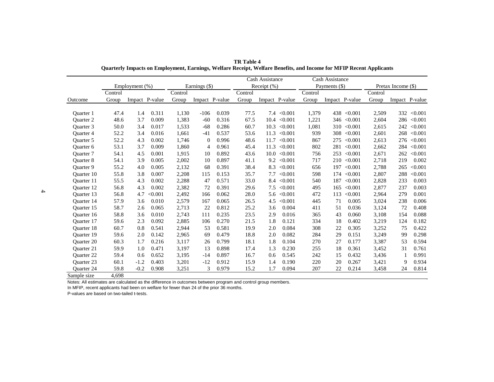|                   |         |                |                |         |                |                |         | Cash Assistance |         |         | Cash Assistance |                 |         |                    |                |
|-------------------|---------|----------------|----------------|---------|----------------|----------------|---------|-----------------|---------|---------|-----------------|-----------------|---------|--------------------|----------------|
|                   |         | Employment (%) |                |         | Earnings (\$)  |                |         | Receipt $(\%)$  |         |         | Payments (\$)   |                 |         | Pretax Income (\$) |                |
|                   | Control |                |                | Control |                |                | Control |                 |         | Control |                 |                 | Control |                    |                |
| Outcome           | Group   |                | Impact P-value | Group   |                | Impact P-value | Group   | Impact P-value  |         | Group   |                 | Impact P-value  | Group   |                    | Impact P-value |
|                   |         |                |                |         |                |                |         |                 |         |         |                 |                 |         |                    |                |
| <b>Ouarter</b> 1  | 47.4    | 1.4            | 0.311          | 1,130   | $-106$         | 0.039          | 77.5    | 7.4             | < 0.001 | 1,379   | 438             | < 0.001         | 2,509   | 332                | < 0.001        |
| <b>Ouarter 2</b>  | 48.6    | 3.7            | 0.009          | 1,383   | $-60$          | 0.316          | 67.5    | 10.4            | < 0.001 | 1,221   | 346             | < 0.001         | 2,604   | 286                | < 0.001        |
| Ouarter 3         | 50.0    | 3.4            | 0.017          | 1,533   | $-68$          | 0.286          | 60.7    | 10.3            | < 0.001 | 1,081   |                 | $310 \le 0.001$ | 2,615   | 242                | < 0.001        |
| <b>Ouarter 4</b>  | 52.2    | 3.4            | 0.016          | 1.661   | $-41$          | 0.537          | 53.6    | 11.3            | < 0.001 | 939     | 308             | < 0.001         | 2,601   | 268                | < 0.001        |
| <b>Ouarter 5</b>  | 52.2    | 4.3            | 0.002          | 1,746   | $\theta$       | 0.996          | 48.6    | 11.7            | < 0.001 | 867     | 275             | < 0.001         | 2,613   | 276                | < 0.001        |
| Quarter 6         | 53.1    | 3.7            | 0.009          | 1,860   | $\overline{4}$ | 0.961          | 45.4    | 11.3            | < 0.001 | 802     | 281             | < 0.001         | 2,662   | 284                | < 0.001        |
| <b>Ouarter</b> 7  | 54.1    | 4.5            | 0.001          | 1,915   | 10             | 0.892          | 43.6    | 10.0            | < 0.001 | 756     |                 | $253 \le 0.001$ | 2,671   | 262                | < 0.001        |
| Quarter 8         | 54.1    | 3.9            | 0.005          | 2.002   | 10             | 0.897          | 41.1    | 9.2             | < 0.001 | 717     | 210             | < 0.001         | 2,718   | 219                | 0.002          |
| Quarter 9         | 55.2    | 4.0            | 0.005          | 2,132   | 68             | 0.391          | 38.4    | 8.3             | < 0.001 | 656     | 197             | < 0.001         | 2,788   | 265                | < 0.001        |
| <b>Ouarter</b> 10 | 55.8    | 3.8            | 0.007          | 2,208   | 115            | 0.153          | 35.7    | 7.7             | < 0.001 | 598     | 174             | < 0.001         | 2,807   | 288                | < 0.001        |
| <b>Ouarter</b> 11 | 55.5    | 4.3            | 0.002          | 2,288   | 47             | 0.571          | 33.0    | 8.4             | < 0.001 | 540     | 187             | < 0.001         | 2,828   | 233                | 0.003          |
| <b>Ouarter</b> 12 | 56.8    | 4.3            | 0.002          | 2.382   | 72             | 0.391          | 29.6    | 7.5             | < 0.001 | 495     | 165             | < 0.001         | 2,877   | 237                | 0.003          |
| <b>Ouarter</b> 13 | 56.8    | 4.7            | < 0.001        | 2,492   | 166            | 0.062          | 28.0    | 5.6             | < 0.001 | 472     | 113             | < 0.001         | 2,964   | 279                | 0.001          |
| <b>Ouarter</b> 14 | 57.9    | 3.6            | 0.010          | 2,579   | 167            | 0.065          | 26.5    | 4.5             | < 0.001 | 445     | 71              | 0.005           | 3,024   | 238                | 0.006          |
| <b>Ouarter</b> 15 | 58.7    | 2.6            | 0.065          | 2,713   | 22             | 0.812          | 25.2    | 3.6             | 0.004   | 411     | 51              | 0.036           | 3,124   | 72                 | 0.408          |
| Ouarter 16        | 58.8    | 3.6            | 0.010          | 2,743   | 111            | 0.235          | 23.5    | 2.9             | 0.016   | 365     | 43              | 0.060           | 3,108   | 154                | 0.088          |
| <b>Ouarter</b> 17 | 59.6    | 2.3            | 0.092          | 2,885   | 106            | 0.270          | 21.5    | 1.8             | 0.121   | 334     | 18              | 0.402           | 3,219   | 124                | 0.182          |
| <b>Ouarter 18</b> | 60.7    | 0.8            | 0.541          | 2,944   | 53             | 0.581          | 19.9    | 2.0             | 0.084   | 308     | 22              | 0.305           | 3,252   | 75                 | 0.422          |
| <b>Ouarter</b> 19 | 59.6    | 2.0            | 0.142          | 2,965   | 69             | 0.479          | 18.8    | 2.0             | 0.082   | 284     | 29              | 0.151           | 3,249   | 99                 | 0.298          |
| <b>Ouarter 20</b> | 60.3    | 1.7            | 0.216          | 3,117   | 26             | 0.799          | 18.1    | 1.8             | 0.104   | 270     | 27              | 0.177           | 3,387   | 53                 | 0.594          |
| <b>Ouarter 21</b> | 59.9    | 1.0            | 0.471          | 3,197   | 13             | 0.898          | 17.4    | 1.3             | 0.230   | 255     | 18              | 0.361           | 3,452   | 31                 | 0.761          |
| <b>Ouarter 22</b> | 59.4    | 0.6            | 0.652          | 3,195   | $-14$          | 0.897          | 16.7    | 0.6             | 0.545   | 242     | 15              | 0.432           | 3,436   |                    | 0.991          |
| <b>Ouarter 23</b> | 60.1    | $-1.2$         | 0.403          | 3,201   | $-12$          | 0.912          | 15.9    | 1.4             | 0.190   | 220     | 20              | 0.267           | 3,421   | 9                  | 0.934          |
| <b>Ouarter 24</b> | 59.8    | $-0.2$         | 0.908          | 3,251   | 3              | 0.979          | 15.2    | 1.7             | 0.094   | 207     | 22              | 0.214           | 3,458   | 24                 | 0.814          |
| Sample size       | 4.698   |                |                |         |                |                |         |                 |         |         |                 |                 |         |                    |                |

**TR Table 4 Quarterly Impacts on Employment, Earnings, Welfare Receipt, Welfare Benefits, and Income for MFIP Recent Applicants**

In MFIP, recent applicants had been on welfare for fewer than 24 of the prior 36 months.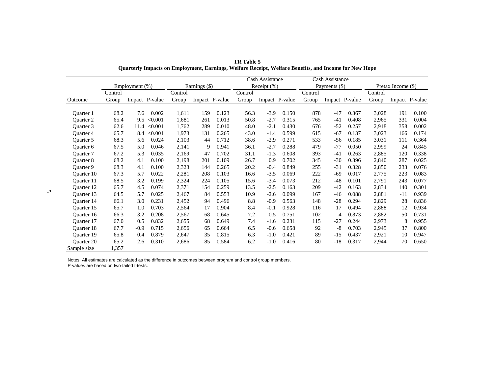|                  |         |                   |         |         |               |                |         | Cash Assistance |                |         | Cash Assistance |                |         |                    |                |
|------------------|---------|-------------------|---------|---------|---------------|----------------|---------|-----------------|----------------|---------|-----------------|----------------|---------|--------------------|----------------|
|                  |         | Employment $(\%)$ |         |         | Earnings (\$) |                |         | Receipt $(\% )$ |                |         | Payments (\$)   |                |         | Pretax Income (\$) |                |
|                  | Control |                   |         | Control |               |                | Control |                 |                | Control |                 |                | Control |                    |                |
| Outcome          | Group   | Impact P-value    |         | Group   |               | Impact P-value | Group   |                 | Impact P-value | Group   |                 | Impact P-value | Group   |                    | Impact P-value |
|                  |         |                   |         |         |               |                |         |                 |                |         |                 |                |         |                    |                |
| Ouarter 1        | 68.2    | 7.6               | 0.002   | 1,611   | 159           | 0.123          | 56.3    | $-3.9$          | 0.150          | 878     | $-47$           | 0.367          | 3,028   | 191                | 0.100          |
| <b>Ouarter 2</b> | 65.4    | 9.5               | < 0.001 | 1,681   | 261           | 0.013          | 50.8    | $-2.7$          | 0.315          | 765     | $-41$           | 0.408          | 2,965   | 331                | 0.004          |
| Ouarter 3        | 62.6    | 11.4              | < 0.001 | 1,762   | 289           | 0.010          | 48.0    | $-2.1$          | 0.430          | 676     | $-52$           | 0.257          | 2,918   | 358                | 0.002          |
| <b>Ouarter 4</b> | 65.7    | 8.4               | < 0.001 | 1,973   | 131           | 0.265          | 43.0    | $-1.4$          | 0.599          | 615     | $-67$           | 0.137          | 3,023   | 166                | 0.174          |
| Quarter 5        | 68.3    | 5.6               | 0.024   | 2,103   | 44            | 0.712          | 38.6    | $-2.9$          | 0.271          | 533     | $-56$           | 0.185          | 3,031   | 111                | 0.364          |
| Quarter 6        | 67.5    | 5.0               | 0.046   | 2,141   | 9             | 0.941          | 36.1    | $-2.7$          | 0.288          | 479     | $-77$           | 0.050          | 2,999   | 24                 | 0.845          |
| Quarter 7        | 67.2    | 5.3               | 0.035   | 2,169   | 47            | 0.702          | 31.1    | $-1.3$          | 0.608          | 393     | $-41$           | 0.263          | 2,885   | 120                | 0.338          |
| Quarter 8        | 68.2    | 4.1               | 0.100   | 2,198   | 201           | 0.109          | 26.7    | 0.9             | 0.702          | 345     | $-30$           | 0.396          | 2,840   | 287                | 0.025          |
| Quarter 9        | 68.3    | 4.1               | 0.100   | 2,323   | 144           | 0.265          | 20.2    | $-0.4$          | 0.849          | 255     | $-31$           | 0.328          | 2,850   | 233                | 0.076          |
| Ouarter 10       | 67.3    | 5.7               | 0.022   | 2,281   | 208           | 0.103          | 16.6    | $-3.5$          | 0.069          | 222     | $-69$           | 0.017          | 2,775   | 223                | 0.083          |
| Ouarter 11       | 68.5    | 3.2               | 0.199   | 2,324   | 224           | 0.105          | 15.6    | $-3.4$          | 0.073          | 212     | $-48$           | 0.101          | 2,791   | 243                | 0.077          |
| Quarter 12       | 65.7    | 4.5               | 0.074   | 2,371   | 154           | 0.259          | 13.5    | $-2.5$          | 0.163          | 209     | $-42$           | 0.163          | 2,834   | 140                | 0.301          |
| Quarter 13       | 64.5    | 5.7               | 0.025   | 2,467   | 84            | 0.553          | 10.9    | $-2.6$          | 0.099          | 167     | -46             | 0.088          | 2,881   | $-11$              | 0.939          |
| Ouarter 14       | 66.1    | 3.0               | 0.231   | 2,452   | 94            | 0.496          | 8.8     | $-0.9$          | 0.563          | 148     | $-28$           | 0.294          | 2,829   | 28                 | 0.836          |
| Ouarter 15       | 65.7    | 1.0               | 0.703   | 2,564   | 17            | 0.904          | 8.4     | $-0.1$          | 0.928          | 116     | 17              | 0.494          | 2,888   | 12                 | 0.934          |
| Ouarter 16       | 66.3    | 3.2               | 0.208   | 2,567   | 68            | 0.645          | 7.2     | 0.5             | 0.751          | 102     | 4               | 0.873          | 2,882   | 50                 | 0.731          |
| Quarter 17       | 67.0    | 0.5               | 0.832   | 2,655   | 68            | 0.649          | 7.4     | $-1.6$          | 0.231          | 115     | $-27$           | 0.244          | 2,973   | 8                  | 0.955          |
| Ouarter 18       | 67.7    | $-0.9$            | 0.715   | 2,656   | 65            | 0.664          | 6.5     | $-0.6$          | 0.658          | 92      | $-8$            | 0.703          | 2,945   | 37                 | 0.800          |
| Ouarter 19       | 65.8    | 0.4               | 0.879   | 2,647   | 35            | 0.815          | 6.3     | $-1.0$          | 0.421          | 89      | $-15$           | 0.437          | 2,921   | 10                 | 0.947          |
| Quarter 20       | 65.2    | 2.6               | 0.310   | 2,686   | 85            | 0.584          | 6.2     | $-1.0$          | 0.416          | 80      | $-18$           | 0.317          | 2,944   | 70                 | 0.650          |
| Sample size      | 1,357   |                   |         |         |               |                |         |                 |                |         |                 |                |         |                    |                |

**TR Table 5 Quarterly Impacts on Employment, Earnings, Welfare Receipt, Welfare Benefits, and Income for New Hope**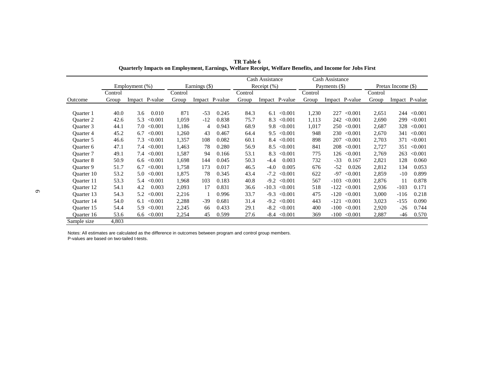|                   |         |                   |         |               |                |         | Cash Assistance |         |         | Cash Assistance |                |         |                    |                |
|-------------------|---------|-------------------|---------|---------------|----------------|---------|-----------------|---------|---------|-----------------|----------------|---------|--------------------|----------------|
|                   |         | Employment (%)    |         | Earnings (\$) |                |         | Receipt $(\%)$  |         |         | Payments (\$)   |                |         | Pretax Income (\$) |                |
|                   | Control |                   | Control |               |                | Control |                 |         | Control |                 |                | Control |                    |                |
| Outcome           | Group   | Impact P-value    | Group   |               | Impact P-value | Group   | Impact P-value  |         | Group   |                 | Impact P-value | Group   |                    | Impact P-value |
|                   |         |                   |         |               |                |         |                 |         |         |                 |                |         |                    |                |
| Ouarter 1         | 40.0    | 0.010<br>3.6      | 871     | $-53$         | 0.245          | 84.3    | 6.1             | < 0.001 | 1,230   | 227             | < 0.001        | 2,651   | 244                | < 0.001        |
| <b>Ouarter 2</b>  | 42.6    | < 0.001<br>5.3    | 1,059   | $-12$         | 0.838          | 75.7    | 8.3             | < 0.001 | 1,113   | 242             | < 0.001        | 2,690   | 299                | < 0.001        |
| Ouarter 3         | 44.1    | < 0.001<br>7.0    | 1,186   | 4             | 0.943          | 68.9    | 9.8             | < 0.001 | 1,017   | 250             | < 0.001        | 2,687   | 328                | < 0.001        |
| <b>Ouarter 4</b>  | 45.2    | < 0.001<br>6.7    | 1,260   | 43            | 0.467          | 64.4    | 9.5             | < 0.001 | 948     | 230             | < 0.001        | 2,670   | 341                | < 0.001        |
| Ouarter 5         | 46.6    | 7.3<br>< 0.001    | 1,357   | 108           | 0.082          | 60.1    | 8.4             | < 0.001 | 898     | 207             | < 0.001        | 2,703   | 371                | < 0.001        |
| Ouarter 6         | 47.1    | < 0.001<br>7.4    | 1,463   | 78            | 0.280          | 56.9    | 8.5             | < 0.001 | 841     | 208             | < 0.001        | 2,727   | 351                | < 0.001        |
| <b>Ouarter</b> 7  | 49.1    | ${<}0.001$<br>7.4 | 1,587   | 94            | 0.166          | 53.1    | 8.3             | < 0.001 | 775     | 126             | < 0.001        | 2,769   | 263                | < 0.001        |
| <b>Ouarter 8</b>  | 50.9    | < 0.001<br>6.6    | 1,698   | 144           | 0.045          | 50.3    | $-4.4$          | 0.003   | 732     | $-33$           | 0.167          | 2,821   | 128                | 0.060          |
| <b>Ouarter 9</b>  | 51.7    | < 0.001<br>6.7    | 1,758   | 173           | 0.017          | 46.5    | $-4.0$          | 0.005   | 676     | $-52$           | 0.026          | 2,812   | 134                | 0.053          |
| Quarter 10        | 53.2    | < 0.001<br>5.0    | 1,875   | 78            | 0.345          | 43.4    | $-7.2$          | < 0.001 | 622     | $-97$           | < 0.001        | 2,859   | $-10$              | 0.899          |
| Ouarter 11        | 53.3    | < 0.001<br>5.4    | 1,968   | 103           | 0.183          | 40.8    | $-9.2$          | < 0.001 | 567     | $-103$          | < 0.001        | 2,876   | 11                 | 0.878          |
| Quarter 12        | 54.1    | 0.003<br>4.2      | 2,093   | 17            | 0.831          | 36.6    | $-10.3$         | < 0.001 | 518     | $-122$          | < 0.001        | 2,936   | $-103$             | 0.171          |
| Quarter 13        | 54.3    | < 0.001<br>5.2    | 2,216   |               | 0.996          | 33.7    | $-9.3$          | < 0.001 | 475     | $-120$          | < 0.001        | 3,000   | $-116$             | 0.218          |
| <b>Ouarter</b> 14 | 54.0    | < 0.001<br>6.1    | 2,288   | $-39$         | 0.681          | 31.4    | $-9.2$          | < 0.001 | 443     |                 | $-121 < 0.001$ | 3,023   | $-155$             | 0.090          |
| Quarter 15        | 54.4    | < 0.001<br>5.9    | 2,245   | 66            | 0.433          | 29.1    | $-8.2$          | < 0.001 | 400     | $-100$          | < 0.001        | 2,920   | $-26$              | 0.744          |
| Ouarter 16        | 53.6    | ${<}0.001$<br>6.6 | 2,254   | 45            | 0.599          | 27.6    | -8.4            | < 0.001 | 369     | $-100$          | < 0.001        | 2,887   | -46                | 0.570          |
| Sample size       | 4,803   |                   |         |               |                |         |                 |         |         |                 |                |         |                    |                |

**TR Table 6 Quarterly Impacts on Employment, Earnings, Welfare Receipt, Welfare Benefits, and Income for Jobs First**

Notes: All estimates are calculated as the difference in outcomes between program and control group members. P-values are based on two-tailed t-tests.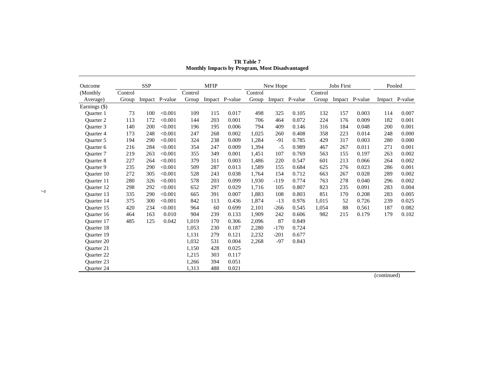| Outcome           |         | <b>SSP</b> |                |         | <b>MFIP</b> |                |         | New Hope |                |         | <b>Jobs First</b> |                | Pooled |                |
|-------------------|---------|------------|----------------|---------|-------------|----------------|---------|----------|----------------|---------|-------------------|----------------|--------|----------------|
| (Monthly)         | Control |            |                | Control |             |                | Control |          |                | Control |                   |                |        |                |
| Average)          | Group   |            | Impact P-value | Group   |             | Impact P-value | Group   |          | Impact P-value | Group   |                   | Impact P-value |        | Impact P-value |
| Earnings (\$)     |         |            |                |         |             |                |         |          |                |         |                   |                |        |                |
| Ouarter 1         | 73      | 100        | < 0.001        | 109     | 115         | 0.017          | 498     | 325      | 0.105          | 132     | 157               | 0.003          | 114    | 0.007          |
| <b>Ouarter 2</b>  | 113     | 172        | < 0.001        | 144     | 203         | 0.001          | 706     | 464      | 0.072          | 224     | 176               | 0.009          | 182    | 0.001          |
| Quarter 3         | 140     | 200        | < 0.001        | 196     | 195         | 0.006          | 794     | 409      | 0.146          | 316     | 184               | 0.048          | 200    | 0.001          |
| <b>Ouarter 4</b>  | 173     | 248        | < 0.001        | 247     | 268         | 0.002          | 1,025   | 260      | 0.408          | 358     | 223               | 0.014          | 248    | 0.000          |
| <b>Ouarter 5</b>  | 194     | 290        | < 0.001        | 324     | 238         | 0.009          | 1.284   | $-91$    | 0.785          | 429     | 317               | 0.003          | 280    | 0.000          |
| Quarter 6         | 216     | 284        | < 0.001        | 354     | 247         | 0.009          | 1,394   | $-5$     | 0.989          | 467     | 267               | 0.011          | 271    | 0.001          |
| <b>Ouarter</b> 7  | 219     | 263        | < 0.001        | 355     | 349         | 0.001          | 1,451   | 107      | 0.769          | 563     | 155               | 0.197          | 263    | 0.002          |
| <b>Ouarter 8</b>  | 227     | 264        | < 0.001        | 379     | 311         | 0.003          | 1,486   | 220      | 0.547          | 601     | 213               | 0.066          | 264    | 0.002          |
| <b>Ouarter 9</b>  | 235     | 290        | < 0.001        | 509     | 287         | 0.013          | 1,589   | 155      | 0.684          | 625     | 276               | 0.023          | 286    | 0.001          |
| <b>Ouarter</b> 10 | 272     | 305        | < 0.001        | 528     | 243         | 0.038          | 1,764   | 154      | 0.712          | 663     | 267               | 0.028          | 289    | 0.002          |
| <b>Ouarter</b> 11 | 280     | 326        | < 0.001        | 578     | 203         | 0.099          | 1,930   | $-119$   | 0.774          | 763     | 278               | 0.040          | 296    | 0.002          |
| <b>Ouarter 12</b> | 298     | 292        | < 0.001        | 652     | 297         | 0.029          | 1,716   | 105      | 0.807          | 823     | 235               | 0.091          | 283    | 0.004          |
| <b>Ouarter 13</b> | 335     | 290        | < 0.001        | 665     | 391         | 0.007          | 1,883   | 108      | 0.803          | 851     | 170               | 0.208          | 283    | 0.005          |
| Quarter 14        | 375     | 300        | < 0.001        | 842     | 113         | 0.436          | 1,874   | $-13$    | 0.976          | 1,015   | 52                | 0.726          | 239    | 0.025          |
| <b>Ouarter 15</b> | 420     | 234        | < 0.001        | 964     | 60          | 0.699          | 2,101   | $-266$   | 0.545          | 1,054   | 88                | 0.561          | 187    | 0.082          |
| Ouarter 16        | 464     | 163        | 0.010          | 904     | 239         | 0.133          | 1.909   | 242      | 0.606          | 982     | 215               | 0.179          | 179    | 0.102          |
| Quarter 17        | 485     | 125        | 0.042          | 1,019   | 170         | 0.306          | 2,096   | 87       | 0.849          |         |                   |                |        |                |
| Quarter 18        |         |            |                | 1,053   | 230         | 0.187          | 2,280   | $-170$   | 0.724          |         |                   |                |        |                |
| <b>Ouarter 19</b> |         |            |                | 1,131   | 279         | 0.121          | 2,232   | $-201$   | 0.677          |         |                   |                |        |                |
| <b>Ouarter 20</b> |         |            |                | 1,032   | 531         | 0.004          | 2,268   | $-97$    | 0.843          |         |                   |                |        |                |
| <b>Ouarter 21</b> |         |            |                | 1,150   | 428         | 0.025          |         |          |                |         |                   |                |        |                |
| <b>Ouarter 22</b> |         |            |                | 1,215   | 303         | 0.117          |         |          |                |         |                   |                |        |                |
| <b>Ouarter 23</b> |         |            |                | 1,266   | 394         | 0.051          |         |          |                |         |                   |                |        |                |
| <b>Ouarter 24</b> |         |            |                | 1,313   | 488         | 0.021          |         |          |                |         |                   |                | $\sim$ | $\mathbf{1}$   |

**TR Table 7 Monthly Impacts by Program, Most Disadvantaged**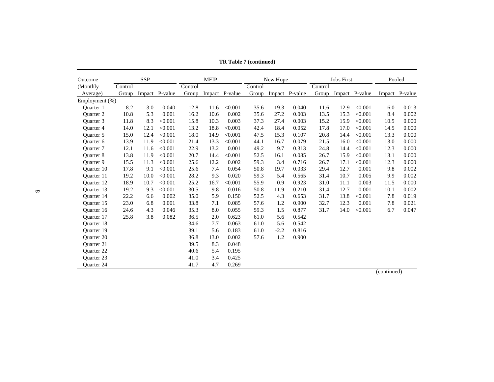| Outcome           |         | <b>SSP</b> |                |         | <b>MFIP</b> |                |         | New Hope |                |         | <b>Jobs First</b> |                |      | Pooled         |
|-------------------|---------|------------|----------------|---------|-------------|----------------|---------|----------|----------------|---------|-------------------|----------------|------|----------------|
| (Monthly)         | Control |            |                | Control |             |                | Control |          |                | Control |                   |                |      |                |
| Average)          | Group   |            | Impact P-value | Group   |             | Impact P-value | Group   |          | Impact P-value | Group   |                   | Impact P-value |      | Impact P-value |
| Employment (%)    |         |            |                |         |             |                |         |          |                |         |                   |                |      |                |
| <b>Ouarter</b> 1  | 8.2     | 3.0        | 0.040          | 12.8    | 11.6        | < 0.001        | 35.6    | 19.3     | 0.040          | 11.6    | 12.9              | < 0.001        | 6.0  | 0.013          |
| <b>Ouarter 2</b>  | 10.8    | 5.3        | 0.001          | 16.2    | 10.6        | 0.002          | 35.6    | 27.2     | 0.003          | 13.5    | 15.3              | < 0.001        | 8.4  | 0.002          |
| Ouarter 3         | 11.8    | 8.3        | < 0.001        | 15.8    | 10.3        | 0.003          | 37.3    | 27.4     | 0.003          | 15.2    | 15.9              | < 0.001        | 10.5 | 0.000          |
| Quarter 4         | 14.0    | 12.1       | < 0.001        | 13.2    | 18.8        | < 0.001        | 42.4    | 18.4     | 0.052          | 17.8    | 17.0              | < 0.001        | 14.5 | 0.000          |
| <b>Ouarter 5</b>  | 15.0    | 12.4       | < 0.001        | 18.0    | 14.9        | < 0.001        | 47.5    | 15.3     | 0.107          | 20.8    | 14.4              | < 0.001        | 13.3 | 0.000          |
| <b>Ouarter 6</b>  | 13.9    | 11.9       | < 0.001        | 21.4    | 13.3        | < 0.001        | 44.1    | 16.7     | 0.079          | 21.5    | 16.0              | < 0.001        | 13.0 | 0.000          |
| <b>Ouarter</b> 7  | 12.1    | 11.6       | < 0.001        | 22.9    | 13.2        | 0.001          | 49.2    | 9.7      | 0.313          | 24.8    | 14.4              | < 0.001        | 12.3 | 0.000          |
| <b>Ouarter 8</b>  | 13.8    | 11.9       | < 0.001        | 20.7    | 14.4        | < 0.001        | 52.5    | 16.1     | 0.085          | 26.7    | 15.9              | < 0.001        | 13.1 | 0.000          |
| Quarter 9         | 15.5    | 11.3       | < 0.001        | 25.6    | 12.2        | 0.002          | 59.3    | 3.4      | 0.716          | 26.7    | 17.1              | < 0.001        | 12.3 | 0.000          |
| <b>Ouarter 10</b> | 17.8    | 9.1        | < 0.001        | 25.6    | 7.4         | 0.054          | 50.8    | 19.7     | 0.033          | 29.4    | 12.7              | 0.001          | 9.8  | 0.002          |
| <b>Ouarter</b> 11 | 19.2    | 10.0       | < 0.001        | 28.2    | 9.3         | 0.020          | 59.3    | 5.4      | 0.565          | 31.4    | 10.7              | 0.005          | 9.9  | 0.002          |
| <b>Ouarter</b> 12 | 18.9    | 10.7       | < 0.001        | 25.2    | 16.7        | < 0.001        | 55.9    | 0.9      | 0.923          | 31.0    | 11.1              | 0.003          | 11.5 | 0.000          |
| <b>Ouarter</b> 13 | 19.2    | 9.3        | < 0.001        | 30.5    | 9.8         | 0.016          | 50.8    | 11.9     | 0.210          | 31.4    | 12.7              | 0.001          | 10.1 | 0.002          |
| <b>Ouarter</b> 14 | 22.2    | 6.6        | 0.002          | 35.0    | 5.9         | 0.150          | 52.5    | 4.3      | 0.653          | 31.7    | 13.8              | < 0.001        | 7.8  | 0.019          |
| <b>Ouarter 15</b> | 23.0    | 6.8        | 0.001          | 33.8    | 7.1         | 0.085          | 57.6    | 1.2      | 0.900          | 32.7    | 12.3              | 0.001          | 7.8  | 0.021          |
| <b>Ouarter</b> 16 | 24.6    | 4.3        | 0.046          | 35.3    | 8.0         | 0.055          | 59.3    | 1.5      | 0.877          | 31.7    | 14.0              | < 0.001        | 6.7  | 0.047          |
| <b>Ouarter 17</b> | 25.8    | 3.8        | 0.082          | 36.5    | 2.0         | 0.623          | 61.0    | 5.6      | 0.542          |         |                   |                |      |                |
| Quarter 18        |         |            |                | 34.6    | 7.7         | 0.063          | 61.0    | 5.6      | 0.542          |         |                   |                |      |                |
| <b>Ouarter 19</b> |         |            |                | 39.1    | 5.6         | 0.183          | 61.0    | $-2.2$   | 0.816          |         |                   |                |      |                |
| <b>Ouarter 20</b> |         |            |                | 36.8    | 13.0        | 0.002          | 57.6    | 1.2      | 0.900          |         |                   |                |      |                |
| <b>Ouarter 21</b> |         |            |                | 39.5    | 8.3         | 0.048          |         |          |                |         |                   |                |      |                |
| <b>Ouarter 22</b> |         |            |                | 40.6    | 5.4         | 0.195          |         |          |                |         |                   |                |      |                |
| <b>Ouarter 23</b> |         |            |                | 41.0    | 3.4         | 0.425          |         |          |                |         |                   |                |      |                |
| <b>Ouarter 24</b> |         |            |                | 41.7    | 4.7         | 0.269          |         |          |                |         |                   |                |      | $\mathbf{B}$   |

**TR Table 7 (continued)**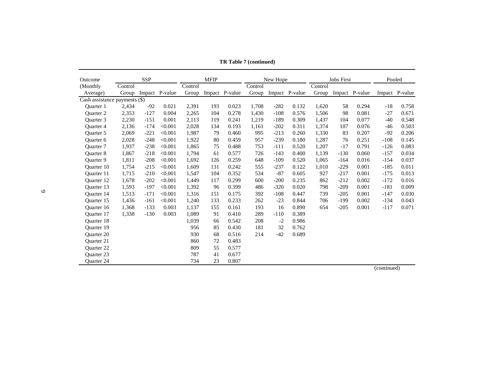| Outcome                       |         | <b>SSP</b> |                |         | <b>MFIP</b> |                |         | New Hope |                |         | <b>Jobs First</b> |                |        | Pooled         |
|-------------------------------|---------|------------|----------------|---------|-------------|----------------|---------|----------|----------------|---------|-------------------|----------------|--------|----------------|
| (Monthly                      | Control |            |                | Control |             |                | Control |          |                | Control |                   |                |        |                |
| Average)                      | Group   |            | Impact P-value | Group   |             | Impact P-value | Group   |          | Impact P-value | Group   |                   | Impact P-value |        | Impact P-value |
| Cash assistance payments (\$) |         |            |                |         |             |                |         |          |                |         |                   |                |        |                |
| <b>Ouarter</b> 1              | 2,434   | $-92$      | 0.021          | 2,391   | 193         | 0.023          | 1,708   | $-282$   | 0.132          | 1,620   | 58                | 0.294          | $-18$  | 0.758          |
| <b>Ouarter 2</b>              | 2,353   | $-127$     | 0.004          | 2,265   | 104         | 0.278          | 1.430   | $-108$   | 0.576          | 1.506   | 98                | 0.081          | $-27$  | 0.671          |
| Ouarter 3                     | 2,230   | $-151$     | 0.001          | 2,113   | 119         | 0.241          | 1,219   | $-189$   | 0.309          | 1,437   | 104               | 0.077          | $-40$  | 0.548          |
| Quarter 4                     | 2,136   | $-174$     | < 0.001        | 2,028   | 134         | 0.193          | 1,161   | $-202$   | 0.311          | 1,374   | 107               | 0.076          | $-46$  | 0.503          |
| Ouarter 5                     | 2,069   | $-221$     | < 0.001        | 1,987   | 79          | 0.460          | 995     | $-213$   | 0.260          | 1,330   | 83                | 0.207          | $-92$  | 0.206          |
| Ouarter <sub>6</sub>          | 2,028   | $-248$     | < 0.001        | 1,922   | 80          | 0.459          | 957     | $-239$   | 0.180          | 1,287   | 76                | 0.251          | $-108$ | 0.145          |
| <b>Ouarter 7</b>              | 1,937   | $-238$     | < 0.001        | 1.865   | 75          | 0.488          | 753     | $-111$   | 0.520          | 1,207   | $-17$             | 0.791          | $-126$ | 0.083          |
| <b>Ouarter 8</b>              | 1,867   | $-218$     | < 0.001        | 1,794   | 61          | 0.577          | 726     | $-143$   | 0.400          | 1,139   | $-130$            | 0.060          | $-157$ | 0.034          |
| <b>Ouarter 9</b>              | 1,811   | $-208$     | < 0.001        | 1.692   | 126         | 0.259          | 648     | $-109$   | 0.520          | 1.065   | $-164$            | 0.016          | $-154$ | 0.037          |
| Quarter 10                    | 1,754   | $-215$     | < 0.001        | 1,609   | 131         | 0.242          | 555     | $-237$   | 0.122          | 1,010   | $-229$            | 0.001          | $-185$ | 0.011          |
| Ouarter 11                    | 1,715   | $-210$     | < 0.001        | 1,547   | 104         | 0.352          | 534     | $-87$    | 0.605          | 927     | $-217$            | 0.001          | $-175$ | 0.013          |
| <b>Ouarter 12</b>             | 1,678   | $-202$     | < 0.001        | 1,449   | 117         | 0.299          | 600     | $-200$   | 0.235          | 862     | $-212$            | 0.002          | $-172$ | 0.016          |
| <b>Ouarter 13</b>             | 1,593   | $-197$     | < 0.001        | 1,392   | 96          | 0.399          | 486     | $-320$   | 0.020          | 798     | $-209$            | 0.001          | $-181$ | 0.009          |
| <b>Ouarter</b> 14             | 1,513   | $-171$     | < 0.001        | 1,316   | 151         | 0.175          | 392     | $-108$   | 0.447          | 739     | $-205$            | 0.001          | $-147$ | 0.030          |
| Ouarter 15                    | 1,436   | $-161$     | < 0.001        | 1,240   | 133         | 0.233          | 262     | $-23$    | 0.844          | 706     | $-199$            | 0.002          | $-134$ | 0.043          |
| Quarter 16                    | 1,368   | $-133$     | 0.003          | 1,137   | 155         | 0.161          | 193     | 16       | 0.890          | 654     | $-205$            | 0.001          | $-117$ | 0.071          |
| Ouarter 17                    | 1,338   | $-130$     | 0.003          | 1.089   | 91          | 0.410          | 289     | $-110$   | 0.389          |         |                   |                |        |                |
| <b>Ouarter 18</b>             |         |            |                | 1,039   | 66          | 0.542          | 208     | $-2$     | 0.986          |         |                   |                |        |                |
| <b>Ouarter 19</b>             |         |            |                | 956     | 85          | 0.430          | 181     | 32       | 0.762          |         |                   |                |        |                |
| <b>Ouarter 20</b>             |         |            |                | 930     | 68          | 0.516          | 214     | $-42$    | 0.689          |         |                   |                |        |                |
| <b>Ouarter 21</b>             |         |            |                | 860     | 72          | 0.483          |         |          |                |         |                   |                |        |                |
| Quarter 22                    |         |            |                | 809     | 55          | 0.577          |         |          |                |         |                   |                |        |                |
| <b>Ouarter 23</b>             |         |            |                | 787     | 41          | 0.677          |         |          |                |         |                   |                |        |                |
| <b>Ouarter 24</b>             |         |            |                | 734     | 23          | 0.807          |         |          |                |         |                   |                |        |                |

**TR Table 7 (continued)**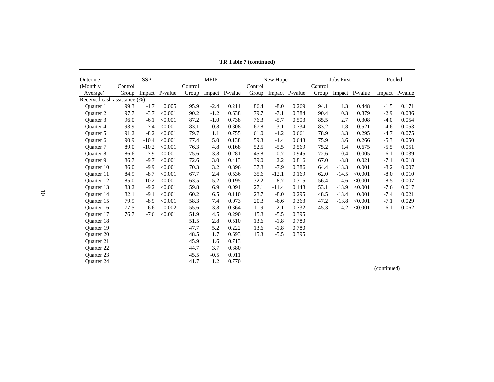| Outcome                      |         | <b>SSP</b> |                |         | <b>MFIP</b> |                |         | New Hope |                |         | <b>Jobs First</b> |                | Pooled     |                |
|------------------------------|---------|------------|----------------|---------|-------------|----------------|---------|----------|----------------|---------|-------------------|----------------|------------|----------------|
| (Monthly)                    | Control |            |                | Control |             |                | Control |          |                | Control |                   |                |            |                |
| Average)                     | Group   |            | Impact P-value | Group   |             | Impact P-value | Group   |          | Impact P-value | Group   |                   | Impact P-value |            | Impact P-value |
| Received cash assistance (%) |         |            |                |         |             |                |         |          |                |         |                   |                |            |                |
| Ouarter 1                    | 99.3    | $-1.7$     | 0.005          | 95.9    | $-2.4$      | 0.211          | 86.4    | $-8.0$   | 0.269          | 94.1    | 1.3               | 0.448          | $-1.5$     | 0.171          |
| <b>Ouarter 2</b>             | 97.7    | $-3.7$     | < 0.001        | 90.2    | $-1.2$      | 0.638          | 79.7    | $-7.1$   | 0.384          | 90.4    | 0.3               | 0.879          | $-2.9$     | 0.086          |
| Ouarter 3                    | 96.0    | $-6.1$     | < 0.001        | 87.2    | $-1.0$      | 0.738          | 76.3    | $-5.7$   | 0.503          | 85.5    | 2.7               | 0.308          | $-4.0$     | 0.054          |
| <b>Ouarter 4</b>             | 93.9    | $-7.4$     | < 0.001        | 83.1    | 0.8         | 0.808          | 67.8    | $-3.1$   | 0.734          | 83.2    | 1.8               | 0.521          | $-4.6$     | 0.053          |
| Quarter 5                    | 91.2    | $-8.2$     | < 0.001        | 79.7    | 1.1         | 0.755          | 61.0    | $-4.2$   | 0.661          | 78.9    | 3.3               | 0.295          | $-4.7$     | 0.075          |
| Ouarter <sub>6</sub>         | 90.9    | $-10.4$    | < 0.001        | 77.4    | 5.0         | 0.138          | 59.3    | $-4.4$   | 0.643          | 75.9    | 3.6               | 0.266          | $-5.3$     | 0.050          |
| <b>Ouarter 7</b>             | 89.0    | $-10.2$    | < 0.001        | 76.3    | 4.8         | 0.168          | 52.5    | $-5.5$   | 0.569          | 75.2    | 1.4               | 0.675          | $-5.5$     | 0.051          |
| <b>Ouarter 8</b>             | 86.6    | $-7.9$     | < 0.001        | 75.6    | 3.8         | 0.281          | 45.8    | $-0.7$   | 0.945          | 72.6    | $-10.4$           | 0.005          | $-6.1$     | 0.039          |
| Ouarter 9                    | 86.7    | $-9.7$     | < 0.001        | 72.6    | 3.0         | 0.413          | 39.0    | 2.2      | 0.816          | 67.0    | $-8.8$            | 0.021          | $-7.1$     | 0.018          |
| Ouarter 10                   | 86.0    | $-9.9$     | < 0.001        | 70.3    | 3.2         | 0.396          | 37.3    | $-7.9$   | 0.386          | 64.4    | $-13.3$           | 0.001          | $-8.2$     | 0.007          |
| Ouarter 11                   | 84.9    | $-8.7$     | < 0.001        | 67.7    | 2.4         | 0.536          | 35.6    | $-12.1$  | 0.169          | 62.0    | $-14.5$           | < 0.001        | $-8.0$     | 0.010          |
| <b>Ouarter 12</b>            | 85.0    | $-10.2$    | < 0.001        | 63.5    | 5.2         | 0.195          | 32.2    | $-8.7$   | 0.315          | 56.4    | $-14.6$           | < 0.001        | $-8.5$     | 0.007          |
| Ouarter 13                   | 83.2    | $-9.2$     | < 0.001        | 59.8    | 6.9         | 0.091          | 27.1    | $-11.4$  | 0.148          | 53.1    | $-13.9$           | < 0.001        | $-7.6$     | 0.017          |
| <b>Ouarter 14</b>            | 82.1    | $-9.1$     | < 0.001        | 60.2    | 6.5         | 0.110          | 23.7    | $-8.0$   | 0.295          | 48.5    | $-13.4$           | 0.001          | $-7.4$     | 0.021          |
| Ouarter 15                   | 79.9    | $-8.9$     | < 0.001        | 58.3    | 7.4         | 0.073          | 20.3    | $-6.6$   | 0.363          | 47.2    | $-13.8$           | < 0.001        | $-7.1$     | 0.029          |
| Ouarter 16                   | 77.5    | $-6.6$     | 0.002          | 55.6    | 3.8         | 0.364          | 11.9    | $-2.1$   | 0.732          | 45.3    | $-14.2$           | < 0.001        | $-6.1$     | 0.062          |
| Ouarter 17                   | 76.7    | $-7.6$     | < 0.001        | 51.9    | 4.5         | 0.290          | 15.3    | $-5.5$   | 0.395          |         |                   |                |            |                |
| Quarter 18                   |         |            |                | 51.5    | 2.8         | 0.510          | 13.6    | $-1.8$   | 0.780          |         |                   |                |            |                |
| <b>Ouarter 19</b>            |         |            |                | 47.7    | 5.2         | 0.222          | 13.6    | $-1.8$   | 0.780          |         |                   |                |            |                |
| <b>Ouarter 20</b>            |         |            |                | 48.5    | 1.7         | 0.693          | 15.3    | $-5.5$   | 0.395          |         |                   |                |            |                |
| <b>Ouarter 21</b>            |         |            |                | 45.9    | 1.6         | 0.713          |         |          |                |         |                   |                |            |                |
| <b>Ouarter 22</b>            |         |            |                | 44.7    | 3.7         | 0.380          |         |          |                |         |                   |                |            |                |
| <b>Ouarter 23</b>            |         |            |                | 45.5    | $-0.5$      | 0.911          |         |          |                |         |                   |                |            |                |
| <b>Ouarter 24</b>            |         |            |                | 41.7    | 1.2         | 0.770          |         |          |                |         |                   |                | (constant) |                |

**TR Table 7 (continued)**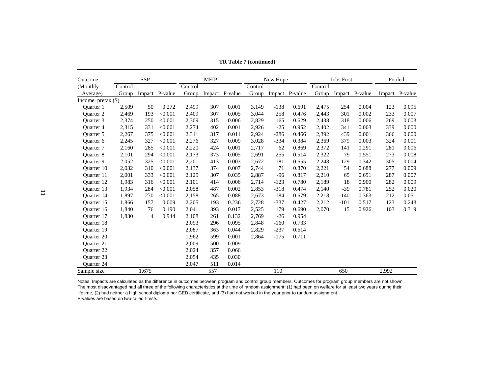| Outcome             |         | SSP   |                |         | <b>MFIP</b> |                |         | New Hope |                |         | <b>Jobs First</b> |                | Pooled |                |
|---------------------|---------|-------|----------------|---------|-------------|----------------|---------|----------|----------------|---------|-------------------|----------------|--------|----------------|
| (Monthly)           | Control |       |                | Control |             |                | Control |          |                | Control |                   |                |        |                |
| Average)            | Group   |       | Impact P-value | Group   |             | Impact P-value | Group   |          | Impact P-value | Group   |                   | Impact P-value |        | Impact P-value |
| Income, pretax (\$) |         |       |                |         |             |                |         |          |                |         |                   |                |        |                |
| <b>Ouarter</b> 1    | 2,509   | 50    | 0.272          | 2,499   | 307         | 0.001          | 3,149   | $-138$   | 0.691          | 2,475   | 254               | 0.004          | 123    | 0.095          |
| <b>Ouarter 2</b>    | 2,469   | 193   | < 0.001        | 2,409   | 307         | 0.005          | 3,044   | 258      | 0.476          | 2,443   | 301               | 0.002          | 233    | 0.007          |
| <b>Ouarter 3</b>    | 2,374   | 250   | < 0.001        | 2,309   | 315         | 0.006          | 2,829   | 165      | 0.629          | 2,438   | 318               | 0.006          | 269    | 0.003          |
| Quarter 4           | 2,315   | 331   | < 0.001        | 2,274   | 402         | 0.001          | 2,926   | $-25$    | 0.952          | 2,402   | 341               | 0.003          | 339    | 0.000          |
| <b>Ouarter 5</b>    | 2,267   | 375   | < 0.001        | 2,311   | 317         | 0.011          | 2,924   | $-286$   | 0.466          | 2,392   | 439               | 0.001          | 366    | 0.000          |
| <b>Ouarter 6</b>    | 2,245   | 327   | < 0.001        | 2,276   | 327         | 0.009          | 3,028   | $-334$   | 0.384          | 2,369   | 379               | 0.003          | 324    | 0.001          |
| <b>Ouarter</b> 7    | 2,160   | 285   | < 0.001        | 2,220   | 424         | 0.001          | 2,717   | 62       | 0.869          | 2,372   | 141               | 0.291          | 281    | 0.006          |
| Quarter 8           | 2,101   | 294   | < 0.001        | 2,173   | 373         | 0.005          | 2,691   | 255      | 0.514          | 2,322   | 79                | 0.551          | 273    | 0.008          |
| <b>Ouarter 9</b>    | 2,052   | 325   | < 0.001        | 2,201   | 413         | 0.003          | 2,672   | 181      | 0.655          | 2,248   | 129               | 0.342          | 305    | 0.004          |
| Ouarter 10          | 2,032   | 310   | < 0.001        | 2,137   | 374         | 0.007          | 2,744   | 71       | 0.870          | 2,221   | 54                | 0.688          | 277    | 0.009          |
| Ouarter 11          | 2,001   | 333   | < 0.001        | 2,125   | 307         | 0.035          | 2,887   | $-96$    | 0.817          | 2,210   | 65                | 0.651          | 287    | 0.007          |
| Quarter 12          | 1,983   | 316   | < 0.001        | 2,101   | 414         | 0.006          | 2,714   | $-123$   | 0.780          | 2,189   | 18                | 0.900          | 282    | 0.009          |
| Quarter 13          | 1,934   | 284   | < 0.001        | 2,058   | 487         | 0.002          | 2,853   | $-318$   | 0.474          | 2,140   | $-39$             | 0.781          | 252    | 0.020          |
| <b>Ouarter 14</b>   | 1,897   | 270   | < 0.001        | 2,158   | 265         | 0.088          | 2.673   | $-184$   | 0.679          | 2,218   | $-140$            | 0.363          | 212    | 0.051          |
| Ouarter 15          | 1,866   | 157   | 0.009          | 2,205   | 193         | 0.236          | 2,728   | $-337$   | 0.427          | 2,212   | $-101$            | 0.517          | 123    | 0.243          |
| Quarter 16          | 1,840   | 76    | 0.190          | 2,041   | 393         | 0.017          | 2,525   | 179      | 0.690          | 2,070   | 15                | 0.926          | 103    | 0.319          |
| Quarter 17          | 1,830   | 4     | 0.944          | 2,108   | 261         | 0.132          | 2,769   | $-26$    | 0.954          |         |                   |                |        |                |
| Quarter 18          |         |       |                | 2,093   | 296         | 0.095          | 2,848   | $-160$   | 0.733          |         |                   |                |        |                |
| <b>Ouarter 19</b>   |         |       |                | 2,087   | 363         | 0.044          | 2,829   | $-237$   | 0.614          |         |                   |                |        |                |
| Quarter 20          |         |       |                | 1,962   | 599         | 0.001          | 2,864   | $-175$   | 0.711          |         |                   |                |        |                |
| Quarter 21          |         |       |                | 2,009   | 500         | 0.009          |         |          |                |         |                   |                |        |                |
| <b>Ouarter 22</b>   |         |       |                | 2,024   | 357         | 0.066          |         |          |                |         |                   |                |        |                |
| <b>Ouarter 23</b>   |         |       |                | 2,054   | 435         | 0.030          |         |          |                |         |                   |                |        |                |
| Quarter 24          |         |       |                | 2,047   | 511         | 0.014          |         |          |                |         |                   |                |        |                |
| Sample size         |         | 1,675 |                |         | 557         |                |         | 110      |                |         | 650               |                | 2,992  |                |

**TR Table 7 (continued)**

Notes: Impacts are calculated as the difference in outcomes between program and control group members. Outcomes for program group members are not shown. The most disadvantaged had all three of the following characteristics at the time of random assignment: (1) had been on welfare for at least two years during their lifetime, (2) had neither a high school diploma nor GED certificate, and (3) had not worked in the year prior to random assignment.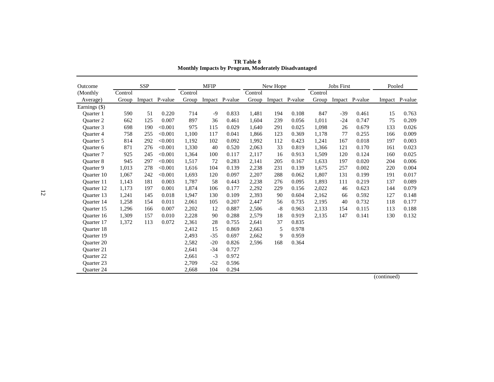| Outcome           |         | <b>SSP</b> |                |         | <b>MFIP</b> |                |         | New Hope |                |         | <b>Jobs First</b> |                | Pooled |                |
|-------------------|---------|------------|----------------|---------|-------------|----------------|---------|----------|----------------|---------|-------------------|----------------|--------|----------------|
| (Monthly          | Control |            |                | Control |             |                | Control |          |                | Control |                   |                |        |                |
| Average)          | Group   |            | Impact P-value | Group   |             | Impact P-value | Group   |          | Impact P-value | Group   |                   | Impact P-value |        | Impact P-value |
| Earnings (\$)     |         |            |                |         |             |                |         |          |                |         |                   |                |        |                |
| Ouarter 1         | 590     | 51         | 0.220          | 714     | -9          | 0.833          | 1,481   | 194      | 0.108          | 847     | $-39$             | 0.461          | 15     | 0.763          |
| <b>Ouarter 2</b>  | 662     | 125        | 0.007          | 897     | 36          | 0.461          | 1,604   | 239      | 0.056          | 1,011   | $-24$             | 0.747          | 75     | 0.209          |
| Quarter 3         | 698     | 190        | < 0.001        | 975     | 115         | 0.029          | 1.640   | 291      | 0.025          | 1.098   | 26                | 0.679          | 133    | 0.026          |
| <b>Ouarter 4</b>  | 758     | 255        | < 0.001        | 1,100   | 117         | 0.041          | 1,866   | 123      | 0.369          | 1,178   | 77                | 0.255          | 166    | 0.009          |
| <b>Ouarter 5</b>  | 814     | 292        | < 0.001        | 1.192   | 102         | 0.092          | 1.992   | 112      | 0.423          | 1,241   | 167               | 0.018          | 197    | 0.003          |
| Quarter 6         | 871     | 276        | < 0.001        | 1,330   | 40          | 0.520          | 2,063   | 33       | 0.819          | 1,366   | 121               | 0.170          | 161    | 0.023          |
| <b>Ouarter</b> 7  | 925     | 245        | < 0.001        | 1,364   | 100         | 0.117          | 2,117   | 16       | 0.913          | 1,509   | 120               | 0.124          | 160    | 0.025          |
| <b>Ouarter 8</b>  | 945     | 297        | < 0.001        | 1,517   | 72          | 0.283          | 2,141   | 205      | 0.167          | 1,633   | 197               | 0.020          | 204    | 0.006          |
| <b>Ouarter 9</b>  | 1,013   | 278        | < 0.001        | 1,616   | 104         | 0.139          | 2,238   | 231      | 0.139          | 1,675   | 257               | 0.002          | 220    | 0.004          |
| <b>Ouarter</b> 10 | 1,067   | 242        | < 0.001        | 1,693   | 120         | 0.097          | 2,207   | 288      | 0.062          | 1,807   | 131               | 0.199          | 191    | 0.017          |
| <b>Ouarter</b> 11 | 1,143   | 181        | 0.003          | 1,787   | 58          | 0.443          | 2,238   | 276      | 0.095          | 1,893   | 111               | 0.219          | 137    | 0.089          |
| <b>Ouarter 12</b> | 1,173   | 197        | 0.001          | 1,874   | 106         | 0.177          | 2,292   | 229      | 0.156          | 2,022   | 46                | 0.623          | 144    | 0.079          |
| Ouarter 13        | 1,241   | 145        | 0.018          | 1,947   | 130         | 0.109          | 2,393   | 90       | 0.604          | 2,162   | 66                | 0.592          | 127    | 0.148          |
| Quarter 14        | 1,258   | 154        | 0.011          | 2,061   | 105         | 0.207          | 2,447   | 56       | 0.735          | 2,195   | 40                | 0.732          | 118    | 0.177          |
| Quarter 15        | 1,296   | 166        | 0.007          | 2,202   | 12          | 0.887          | 2,506   | $-8$     | 0.963          | 2,133   | 154               | 0.115          | 113    | 0.188          |
| <b>Ouarter</b> 16 | 1,309   | 157        | 0.010          | 2,228   | 90          | 0.288          | 2,579   | 18       | 0.919          | 2,135   | 147               | 0.141          | 130    | 0.132          |
| <b>Ouarter</b> 17 | 1,372   | 113        | 0.072          | 2,361   | 28          | 0.755          | 2,641   | 37       | 0.835          |         |                   |                |        |                |
| <b>Ouarter 18</b> |         |            |                | 2,412   | 15          | 0.869          | 2,663   | 5        | 0.978          |         |                   |                |        |                |
| <b>Ouarter</b> 19 |         |            |                | 2,493   | $-35$       | 0.697          | 2,662   | 9        | 0.959          |         |                   |                |        |                |
| <b>Ouarter 20</b> |         |            |                | 2,582   | $-20$       | 0.826          | 2,596   | 168      | 0.364          |         |                   |                |        |                |
| Quarter 21        |         |            |                | 2,641   | $-34$       | 0.727          |         |          |                |         |                   |                |        |                |
| <b>Ouarter 22</b> |         |            |                | 2,661   | $-3$        | 0.972          |         |          |                |         |                   |                |        |                |
| Quarter 23        |         |            |                | 2,709   | $-52$       | 0.596          |         |          |                |         |                   |                |        |                |
| <b>Ouarter 24</b> |         |            |                | 2,668   | 104         | 0.294          |         |          |                |         |                   |                |        |                |

**TR Table 8 Monthly Impacts by Program, Moderately Disadvantaged**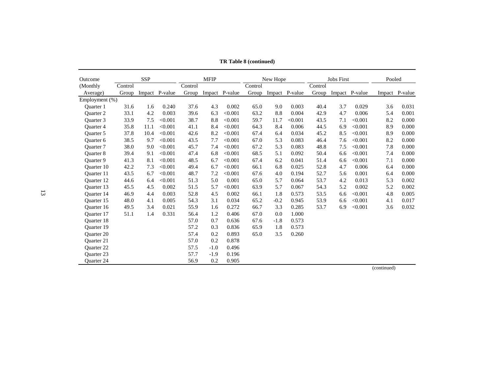| Outcome           |         | <b>SSP</b> |                |         | <b>MFIP</b> |                |         | New Hope |                |         | <b>Jobs First</b> |                | Pooled |                |
|-------------------|---------|------------|----------------|---------|-------------|----------------|---------|----------|----------------|---------|-------------------|----------------|--------|----------------|
| (Monthly)         | Control |            |                | Control |             |                | Control |          |                | Control |                   |                |        |                |
| Average)          | Group   |            | Impact P-value | Group   |             | Impact P-value | Group   |          | Impact P-value | Group   |                   | Impact P-value |        | Impact P-value |
| Employment (%)    |         |            |                |         |             |                |         |          |                |         |                   |                |        |                |
| <b>Ouarter</b> 1  | 31.6    | 1.6        | 0.240          | 37.6    | 4.3         | 0.002          | 65.0    | 9.0      | 0.003          | 40.4    | 3.7               | 0.029          | 3.6    | 0.031          |
| <b>Ouarter 2</b>  | 33.1    | 4.2        | 0.003          | 39.6    | 6.3         | < 0.001        | 63.2    | 8.8      | 0.004          | 42.9    | 4.7               | 0.006          | 5.4    | 0.001          |
| Ouarter 3         | 33.9    | $7.5$      | < 0.001        | 38.7    | 8.8         | < 0.001        | 59.7    | 11.7     | < 0.001        | 43.5    | 7.1               | < 0.001        | 8.2    | 0.000          |
| <b>Ouarter 4</b>  | 35.8    | 11.1       | < 0.001        | 41.1    | 8.4         | < 0.001        | 64.3    | 8.4      | 0.006          | 44.5    | 6.9               | < 0.001        | 8.9    | 0.000          |
| <b>Ouarter 5</b>  | 37.8    | 10.4       | < 0.001        | 42.6    | 8.2         | < 0.001        | 67.4    | 6.4      | 0.034          | 45.2    | 8.5               | < 0.001        | 8.9    | 0.000          |
| Quarter 6         | 38.5    | 9.7        | < 0.001        | 43.5    | 7.7         | < 0.001        | 67.0    | 5.3      | 0.083          | 46.4    | 7.6               | < 0.001        | 8.2    | 0.000          |
| <b>Ouarter</b> 7  | 38.0    | 9.0        | < 0.001        | 45.7    | 7.4         | < 0.001        | 67.2    | 5.3      | 0.083          | 48.8    | 7.5               | < 0.001        | 7.8    | 0.000          |
| <b>Ouarter 8</b>  | 39.4    | 9.1        | < 0.001        | 47.4    | 6.8         | < 0.001        | 68.5    | 5.1      | 0.092          | 50.4    | 6.6               | < 0.001        | 7.4    | 0.000          |
| Quarter 9         | 41.3    | 8.1        | < 0.001        | 48.5    | 6.7         | < 0.001        | 67.4    | 6.2      | 0.041          | 51.4    | 6.6               | < 0.001        | 7.1    | 0.000          |
| <b>Ouarter</b> 10 | 42.2    | 7.3        | < 0.001        | 49.4    | 6.7         | < 0.001        | 66.1    | 6.8      | 0.025          | 52.8    | 4.7               | 0.006          | 6.4    | 0.000          |
| Ouarter 11        | 43.5    | 6.7        | < 0.001        | 48.7    | 7.2         | < 0.001        | 67.6    | 4.0      | 0.194          | 52.7    | 5.6               | 0.001          | 6.4    | 0.000          |
| <b>Ouarter 12</b> | 44.6    | 6.4        | < 0.001        | 51.3    | 5.0         | 0.001          | 65.0    | 5.7      | 0.064          | 53.7    | 4.2               | 0.013          | 5.3    | 0.002          |
| Ouarter 13        | 45.5    | 4.5        | 0.002          | 51.5    | 5.7         | < 0.001        | 63.9    | 5.7      | 0.067          | 54.3    | 5.2               | 0.002          | 5.2    | 0.002          |
| <b>Ouarter</b> 14 | 46.9    | 4.4        | 0.003          | 52.8    | 4.5         | 0.002          | 66.1    | 1.8      | 0.573          | 53.5    | 6.6               | < 0.001        | 4.8    | 0.005          |
| Ouarter 15        | 48.0    | 4.1        | 0.005          | 54.3    | 3.1         | 0.034          | 65.2    | $-0.2$   | 0.945          | 53.9    | 6.6               | < 0.001        | 4.1    | 0.017          |
| <b>Ouarter</b> 16 | 49.5    | 3.4        | 0.021          | 55.9    | 1.6         | 0.272          | 66.7    | 3.3      | 0.285          | 53.7    | 6.9               | < 0.001        | 3.6    | 0.032          |
| Ouarter 17        | 51.1    | 1.4        | 0.331          | 56.4    | 1.2         | 0.406          | 67.0    | 0.0      | 1.000          |         |                   |                |        |                |
| Quarter 18        |         |            |                | 57.0    | 0.7         | 0.636          | 67.6    | $-1.8$   | 0.573          |         |                   |                |        |                |
| <b>Ouarter 19</b> |         |            |                | 57.2    | 0.3         | 0.836          | 65.9    | 1.8      | 0.573          |         |                   |                |        |                |
| <b>Ouarter 20</b> |         |            |                | 57.4    | 0.2         | 0.893          | 65.0    | 3.5      | 0.260          |         |                   |                |        |                |
| Quarter 21        |         |            |                | 57.0    | 0.2         | 0.878          |         |          |                |         |                   |                |        |                |
| <b>Ouarter 22</b> |         |            |                | 57.5    | $-1.0$      | 0.496          |         |          |                |         |                   |                |        |                |
| <b>Ouarter 23</b> |         |            |                | 57.7    | $-1.9$      | 0.196          |         |          |                |         |                   |                |        |                |
| <b>Ouarter 24</b> |         |            |                | 56.9    | 0.2         | 0.905          |         |          |                |         |                   |                |        |                |

**TR Table 8 (continued)**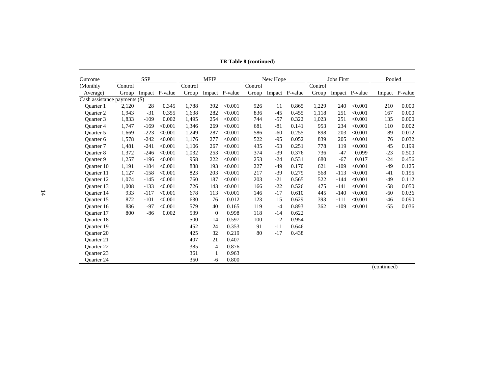| Outcome                       |         | <b>SSP</b> |         |         | <b>MFIP</b>    |                |         | New Hope |                |         | <b>Jobs First</b> |                | Pooled |                |
|-------------------------------|---------|------------|---------|---------|----------------|----------------|---------|----------|----------------|---------|-------------------|----------------|--------|----------------|
| (Monthly)                     | Control |            |         | Control |                |                | Control |          |                | Control |                   |                |        |                |
| Average)                      | Group   | Impact     | P-value | Group   |                | Impact P-value | Group   |          | Impact P-value | Group   |                   | Impact P-value |        | Impact P-value |
| Cash assistance payments (\$) |         |            |         |         |                |                |         |          |                |         |                   |                |        |                |
| <b>Ouarter</b> 1              | 2,120   | 28         | 0.345   | 1,788   | 392            | < 0.001        | 926     | 11       | 0.865          | 1,229   | 240               | < 0.001        | 210    | 0.000          |
| <b>Ouarter 2</b>              | 1,943   | $-31$      | 0.355   | 1,638   | 282            | < 0.001        | 836     | $-45$    | 0.455          | 1,118   | 251               | < 0.001        | 167    | 0.000          |
| <b>Ouarter 3</b>              | 1,833   | $-109$     | 0.002   | 1,495   | 254            | < 0.001        | 744     | $-57$    | 0.322          | 1,023   | 251               | < 0.001        | 135    | 0.000          |
| Quarter 4                     | 1,747   | $-169$     | < 0.001 | 1,346   | 269            | < 0.001        | 681     | $-81$    | 0.141          | 953     | 234               | < 0.001        | 110    | 0.002          |
| Ouarter 5                     | 1,669   | $-223$     | < 0.001 | 1,249   | 287            | < 0.001        | 586     | $-60$    | 0.255          | 898     | 203               | < 0.001        | 89     | 0.012          |
| Ouarter <sub>6</sub>          | 1,578   | $-242$     | < 0.001 | 1,176   | 277            | < 0.001        | 522     | $-95$    | 0.052          | 839     | 205               | < 0.001        | 76     | 0.032          |
| Quarter 7                     | 1,481   | $-241$     | < 0.001 | 1,106   | 267            | < 0.001        | 435     | $-53$    | 0.251          | 778     | 119               | < 0.001        | 45     | 0.199          |
| <b>Ouarter 8</b>              | 1,372   | $-246$     | < 0.001 | 1,032   | 253            | < 0.001        | 374     | $-39$    | 0.376          | 736     | $-47$             | 0.099          | $-23$  | 0.500          |
| <b>Ouarter 9</b>              | 1,257   | $-196$     | < 0.001 | 958     | 222            | < 0.001        | 253     | $-24$    | 0.531          | 680     | $-67$             | 0.017          | $-24$  | 0.456          |
| Quarter 10                    | 1,191   | $-184$     | < 0.001 | 888     | 193            | < 0.001        | 227     | -49      | 0.170          | 621     | $-109$            | < 0.001        | $-49$  | 0.125          |
| Ouarter 11                    | 1,127   | $-158$     | < 0.001 | 823     | 203            | < 0.001        | 217     | $-39$    | 0.279          | 568     | $-113$            | < 0.001        | $-41$  | 0.195          |
| <b>Ouarter 12</b>             | 1.074   | $-145$     | < 0.001 | 760     | 187            | < 0.001        | 203     | $-21$    | 0.565          | 522     | $-144$            | < 0.001        | $-49$  | 0.112          |
| <b>Ouarter</b> 13             | 1,008   | $-133$     | < 0.001 | 726     | 143            | < 0.001        | 166     | $-22$    | 0.526          | 475     | $-141$            | < 0.001        | $-58$  | 0.050          |
| Quarter 14                    | 933     | $-117$     | < 0.001 | 678     | 113            | < 0.001        | 146     | $-17$    | 0.610          | 445     | $-140$            | < 0.001        | $-60$  | 0.036          |
| Ouarter 15                    | 872     | $-101$     | < 0.001 | 630     | 76             | 0.012          | 123     | 15       | 0.629          | 393     | $-111$            | < 0.001        | $-46$  | 0.090          |
| <b>Ouarter</b> 16             | 836     | $-97$      | < 0.001 | 579     | 40             | 0.165          | 119     | $-4$     | 0.893          | 362     | $-109$            | < 0.001        | $-55$  | 0.036          |
| Quarter 17                    | 800     | $-86$      | 0.002   | 539     | $\overline{0}$ | 0.998          | 118     | $-14$    | 0.622          |         |                   |                |        |                |
| <b>Ouarter 18</b>             |         |            |         | 500     | 14             | 0.597          | 100     | $-2$     | 0.954          |         |                   |                |        |                |
| Quarter 19                    |         |            |         | 452     | 24             | 0.353          | 91      | $-11$    | 0.646          |         |                   |                |        |                |
| <b>Ouarter 20</b>             |         |            |         | 425     | 32             | 0.219          | 80      | $-17$    | 0.438          |         |                   |                |        |                |
| <b>Ouarter 21</b>             |         |            |         | 407     | 21             | 0.407          |         |          |                |         |                   |                |        |                |
| <b>Ouarter 22</b>             |         |            |         | 385     | 4              | 0.876          |         |          |                |         |                   |                |        |                |
| <b>Ouarter 23</b>             |         |            |         | 361     | 1              | 0.963          |         |          |                |         |                   |                |        |                |
| <b>Ouarter 24</b>             |         |            |         | 350     | $-6$           | 0.800          |         |          |                |         |                   |                |        |                |

**TR Table 8 (continued)**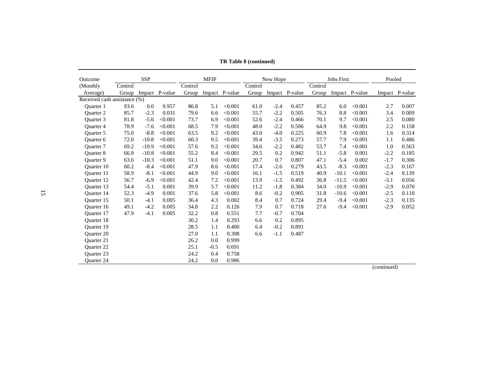| Outcome                      |         | <b>SSP</b> |                |         | <b>MFIP</b> |                |         | New Hope |                |         | Jobs First |                | Pooled |                |
|------------------------------|---------|------------|----------------|---------|-------------|----------------|---------|----------|----------------|---------|------------|----------------|--------|----------------|
| (Monthly)                    | Control |            |                | Control |             |                | Control |          |                | Control |            |                |        |                |
| Average)                     | Group   |            | Impact P-value | Group   |             | Impact P-value | Group   |          | Impact P-value | Group   |            | Impact P-value |        | Impact P-value |
| Received cash assistance (%) |         |            |                |         |             |                |         |          |                |         |            |                |        |                |
| <b>Ouarter</b> 1             | 93.6    | 0.0        | 0.957          | 86.8    | 5.1         | < 0.001        | 61.0    | $-2.4$   | 0.457          | 85.2    | 6.0        | < 0.001        | 2.7    | 0.007          |
| <b>Ouarter 2</b>             | 85.7    | $-2.3$     | 0.031          | 79.6    | 6.6         | < 0.001        | 55.7    | $-2.2$   | 0.505          | 76.3    | 8.8        | < 0.001        | 3.4    | 0.009          |
| Ouarter <sub>3</sub>         | 81.8    | $-5.6$     | < 0.001        | 73.7    | 6.9         | < 0.001        | 52.6    | $-2.4$   | 0.466          | 70.1    | 9.7        | < 0.001        | 2.5    | 0.080          |
| <b>Ouarter 4</b>             | 78.9    | $-7.6$     | < 0.001        | 68.5    | 7.9         | < 0.001        | 48.0    | $-2.2$   | 0.506          | 64.9    | 9.8        | < 0.001        | 2.2    | 0.158          |
| <b>Ouarter 5</b>             | 75.0    | $-8.8$     | < 0.001        | 63.5    | 9.2         | < 0.001        | 43.0    | $-4.0$   | 0.225          | 60.9    | 7.8        | < 0.001        | 1.6    | 0.314          |
| Quarter 6                    | 72.0    | $-10.8$    | < 0.001        | 60.3    | 9.5         | < 0.001        | 39.4    | $-3.5$   | 0.273          | 57.7    | 7.9        | < 0.001        | 1.1    | 0.486          |
| <b>Ouarter</b> 7             | 69.2    | $-10.9$    | < 0.001        | 57.6    | 9.2         | < 0.001        | 34.6    | $-2.2$   | 0.482          | 53.7    | 7.4        | < 0.001        | 1.0    | 0.563          |
| <b>Ouarter 8</b>             | 66.9    | $-10.8$    | < 0.001        | 55.2    | 8.4         | < 0.001        | 29.5    | 0.2      | 0.942          | 51.1    | $-5.8$     | 0.001          | $-2.2$ | 0.185          |
| Quarter 9                    | 63.6    | $-10.3$    | < 0.001        | 51.1    | 9.0         | < 0.001        | 20.7    | 0.7      | 0.807          | 47.1    | $-5.4$     | 0.002          | $-1.7$ | 0.306          |
| <b>Ouarter 10</b>            | 60.2    | $-8.4$     | < 0.001        | 47.9    | 8.6         | < 0.001        | 17.4    | $-2.6$   | 0.279          | 43.5    | $-8.3$     | < 0.001        | $-2.3$ | 0.167          |
| Ouarter 11                   | 58.9    | $-8.1$     | < 0.001        | 44.9    | 9.0         | < 0.001        | 16.1    | $-1.5$   | 0.519          | 40.9    | $-10.1$    | < 0.001        | $-2.4$ | 0.139          |
| Quarter 12                   | 56.7    | $-6.9$     | < 0.001        | 42.4    | 7.2         | < 0.001        | 13.9    | $-1.5$   | 0.492          | 36.8    | $-11.5$    | < 0.001        | $-3.1$ | 0.056          |
| Ouarter 13                   | 54.4    | $-5.1$     | 0.001          | 39.9    | 5.7         | < 0.001        | 11.2    | $-1.8$   | 0.384          | 34.0    | $-10.9$    | < 0.001        | $-2.9$ | 0.070          |
| <b>Ouarter</b> 14            | 52.3    | $-4.9$     | 0.001          | 37.6    | 5.8         | < 0.001        | 8.6     | $-0.2$   | 0.905          | 31.8    | $-10.6$    | < 0.001        | $-2.5$ | 0.110          |
| Ouarter 15                   | 50.1    | $-4.1$     | 0.005          | 36.4    | 4.3         | 0.002          | 8.4     | 0.7      | 0.724          | 29.4    | $-9.4$     | < 0.001        | $-2.3$ | 0.135          |
| Ouarter 16                   | 49.1    | $-4.2$     | 0.005          | 34.8    | 2.2         | 0.126          | 7.9     | 0.7      | 0.718          | 27.6    | $-9.4$     | < 0.001        | $-2.9$ | 0.052          |
| Ouarter 17                   | 47.9    | $-4.1$     | 0.005          | 32.2    | 0.8         | 0.551          | 7.7     | $-0.7$   | 0.704          |         |            |                |        |                |
| <b>Ouarter 18</b>            |         |            |                | 30.2    | 1.4         | 0.293          | 6.6     | 0.2      | 0.895          |         |            |                |        |                |
| Quarter 19                   |         |            |                | 28.5    | 1.1         | 0.400          | 6.4     | $-0.2$   | 0.891          |         |            |                |        |                |
| <b>Ouarter 20</b>            |         |            |                | 27.0    | 1.1         | 0.398          | 6.6     | $-1.1$   | 0.487          |         |            |                |        |                |
| <b>Ouarter 21</b>            |         |            |                | 26.2    | 0.0         | 0.999          |         |          |                |         |            |                |        |                |
| <b>Ouarter 22</b>            |         |            |                | 25.1    | $-0.5$      | 0.691          |         |          |                |         |            |                |        |                |
| <b>Ouarter 23</b>            |         |            |                | 24.2    | 0.4         | 0.758          |         |          |                |         |            |                |        |                |
| <b>Ouarter 24</b>            |         |            |                | 24.2    | 0.0         | 0.986          |         |          |                |         |            |                |        |                |

**TR Table 8 (continued)**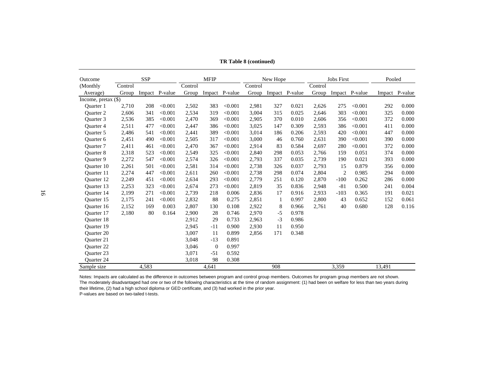| Outcome              |         | SSP   |                |         | <b>MFIP</b>  |                |         | New Hope |                |         | <b>Jobs First</b> |                | Pooled |                |
|----------------------|---------|-------|----------------|---------|--------------|----------------|---------|----------|----------------|---------|-------------------|----------------|--------|----------------|
| (Monthly             | Control |       |                | Control |              |                | Control |          |                | Control |                   |                |        |                |
| Average)             | Group   |       | Impact P-value | Group   |              | Impact P-value | Group   |          | Impact P-value | Group   |                   | Impact P-value |        | Impact P-value |
| Income, pretax (\$)  |         |       |                |         |              |                |         |          |                |         |                   |                |        |                |
| <b>Ouarter</b> 1     | 2,710   | 208   | < 0.001        | 2,502   | 383          | < 0.001        | 2,981   | 327      | 0.021          | 2,626   | 275               | < 0.001        | 292    | 0.000          |
| <b>Ouarter 2</b>     | 2,606   | 341   | < 0.001        | 2,534   | 319          | < 0.001        | 3,004   | 315      | 0.025          | 2,646   | 303               | < 0.001        | 325    | 0.000          |
| Ouarter <sub>3</sub> | 2,536   | 385   | < 0.001        | 2,470   | 369          | < 0.001        | 2,905   | 370      | 0.010          | 2,606   | 356               | < 0.001        | 372    | 0.000          |
| <b>Ouarter 4</b>     | 2,511   | 477   | < 0.001        | 2,447   | 386          | < 0.001        | 3,025   | 147      | 0.309          | 2,593   | 386               | < 0.001        | 411    | 0.000          |
| <b>Ouarter 5</b>     | 2,486   | 541   | < 0.001        | 2,441   | 389          | < 0.001        | 3,014   | 186      | 0.206          | 2,593   | 420               | < 0.001        | 447    | 0.000          |
| Quarter 6            | 2,451   | 490   | < 0.001        | 2,505   | 317          | < 0.001        | 3,000   | 46       | 0.760          | 2,631   | 390               | < 0.001        | 390    | 0.000          |
| <b>Ouarter</b> 7     | 2,411   | 461   | < 0.001        | 2,470   | 367          | < 0.001        | 2,914   | 83       | 0.584          | 2,697   | 280               | < 0.001        | 372    | 0.000          |
| Quarter 8            | 2,318   | 523   | < 0.001        | 2,549   | 325          | < 0.001        | 2,840   | 298      | 0.053          | 2,766   | 159               | 0.051          | 374    | 0.000          |
| <b>Ouarter 9</b>     | 2,272   | 547   | < 0.001        | 2,574   | 326          | < 0.001        | 2,793   | 337      | 0.035          | 2,739   | 190               | 0.021          | 393    | 0.000          |
| Quarter 10           | 2,261   | 501   | < 0.001        | 2,581   | 314          | < 0.001        | 2,738   | 326      | 0.037          | 2,793   | 15                | 0.879          | 356    | 0.000          |
| Ouarter 11           | 2,274   | 447   | < 0.001        | 2,611   | 260          | < 0.001        | 2,738   | 298      | 0.074          | 2,804   | 2                 | 0.985          | 294    | 0.000          |
| Quarter 12           | 2,249   | 451   | < 0.001        | 2,634   | 293          | < 0.001        | 2,779   | 251      | 0.120          | 2,870   | $-100$            | 0.262          | 286    | 0.000          |
| <b>Ouarter</b> 13    | 2,253   | 323   | < 0.001        | 2,674   | 273          | < 0.001        | 2,819   | 35       | 0.836          | 2,948   | $-81$             | 0.500          | 241    | 0.004          |
| Quarter 14           | 2,199   | 271   | < 0.001        | 2,739   | 218          | 0.006          | 2,836   | 17       | 0.916          | 2,933   | $-103$            | 0.365          | 191    | 0.021          |
| Ouarter 15           | 2,175   | 241   | < 0.001        | 2,832   | 88           | 0.275          | 2,851   | 1        | 0.997          | 2,800   | 43                | 0.652          | 152    | 0.061          |
| Quarter 16           | 2,152   | 169   | 0.003          | 2,807   | 130          | 0.108          | 2,922   | 8        | 0.966          | 2,761   | 40                | 0.680          | 128    | 0.116          |
| Ouarter 17           | 2,180   | 80    | 0.164          | 2,900   | 28           | 0.746          | 2,970   | $-5$     | 0.978          |         |                   |                |        |                |
| <b>Ouarter 18</b>    |         |       |                | 2,912   | 29           | 0.733          | 2,963   | $-3$     | 0.986          |         |                   |                |        |                |
| <b>Ouarter</b> 19    |         |       |                | 2,945   | $-11$        | 0.900          | 2,930   | 11       | 0.950          |         |                   |                |        |                |
| <b>Ouarter 20</b>    |         |       |                | 3,007   | 11           | 0.899          | 2,856   | 171      | 0.348          |         |                   |                |        |                |
| <b>Ouarter 21</b>    |         |       |                | 3,048   | $-13$        | 0.891          |         |          |                |         |                   |                |        |                |
| <b>Ouarter 22</b>    |         |       |                | 3,046   | $\mathbf{0}$ | 0.997          |         |          |                |         |                   |                |        |                |
| <b>Ouarter 23</b>    |         |       |                | 3,071   | $-51$        | 0.592          |         |          |                |         |                   |                |        |                |
| Quarter 24           |         |       |                | 3,018   | 98           | 0.308          |         |          |                |         |                   |                |        |                |
| Sample size          |         | 4,583 |                |         | 4,641        |                |         | 908      |                |         | 3,359             |                | 13,491 |                |

**TR Table 8 (continued)**

Notes: Impacts are calculated as the difference in outcomes between program and control group members. Outcomes for program group members are not shown. The moderately disadvantaged had one or two of the following characteristics at the time of random assignment: (1) had been on welfare for less than two years during their lifetime, (2) had a high school diploma or GED certificate, and (3) had worked in the prior year.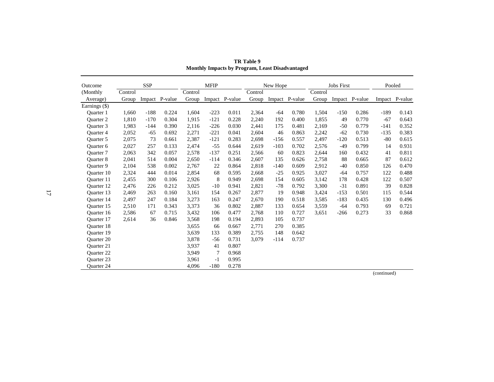| Outcome              |         | <b>SSP</b> |                |         | <b>MFIP</b> |                |         | New Hope |                |         | <b>Jobs First</b> |                | Pooled |                |
|----------------------|---------|------------|----------------|---------|-------------|----------------|---------|----------|----------------|---------|-------------------|----------------|--------|----------------|
| (Monthly             | Control |            |                | Control |             |                | Control |          |                | Control |                   |                |        |                |
| Average)             | Group   |            | Impact P-value | Group   |             | Impact P-value | Group   |          | Impact P-value | Group   |                   | Impact P-value |        | Impact P-value |
| Earnings (\$)        |         |            |                |         |             |                |         |          |                |         |                   |                |        |                |
| <b>Ouarter</b> 1     | 1,660   | $-188$     | 0.224          | 1,604   | $-223$      | 0.011          | 2,364   | $-64$    | 0.780          | 1,504   | $-150$            | 0.286          | $-189$ | 0.143          |
| Quarter 2            | 1,810   | $-170$     | 0.304          | 1,915   | $-121$      | 0.228          | 2,240   | 192      | 0.400          | 1,855   | 49                | 0.770          | $-67$  | 0.643          |
| Ouarter <sub>3</sub> | 1,983   | $-144$     | 0.390          | 2,116   | $-226$      | 0.030          | 2,441   | 175      | 0.481          | 2,169   | $-50$             | 0.779          | $-141$ | 0.352          |
| <b>Ouarter 4</b>     | 2,052   | $-65$      | 0.692          | 2,271   | $-221$      | 0.041          | 2,604   | 46       | 0.863          | 2,242   | $-62$             | 0.730          | $-135$ | 0.383          |
| <b>Ouarter 5</b>     | 2,075   | 73         | 0.661          | 2,387   | $-121$      | 0.283          | 2,698   | $-156$   | 0.557          | 2,497   | $-120$            | 0.513          | $-80$  | 0.615          |
| Quarter 6            | 2,027   | 257        | 0.133          | 2,474   | $-55$       | 0.644          | 2,619   | $-103$   | 0.702          | 2,576   | $-49$             | 0.799          | 14     | 0.931          |
| <b>Ouarter</b> 7     | 2,063   | 342        | 0.057          | 2,578   | $-137$      | 0.251          | 2,566   | 60       | 0.823          | 2,644   | 160               | 0.432          | 41     | 0.811          |
| Quarter 8            | 2,041   | 514        | 0.004          | 2,650   | $-114$      | 0.346          | 2,607   | 135      | 0.626          | 2,758   | 88                | 0.665          | 87     | 0.612          |
| Quarter 9            | 2,104   | 538        | 0.002          | 2,767   | 22          | 0.864          | 2,818   | $-140$   | 0.609          | 2,912   | $-40$             | 0.850          | 126    | 0.470          |
| <b>Ouarter</b> 10    | 2,324   | 444        | 0.014          | 2,854   | 68          | 0.595          | 2,668   | $-25$    | 0.925          | 3,027   | -64               | 0.757          | 122    | 0.488          |
| <b>Ouarter</b> 11    | 2,455   | 300        | 0.106          | 2,926   | 8           | 0.949          | 2,698   | 154      | 0.605          | 3,142   | 178               | 0.428          | 122    | 0.507          |
| <b>Ouarter</b> 12    | 2,476   | 226        | 0.212          | 3,025   | $-10$       | 0.941          | 2,821   | $-78$    | 0.792          | 3,300   | $-31$             | 0.891          | 39     | 0.828          |
| Quarter 13           | 2,469   | 263        | 0.160          | 3,161   | 154         | 0.267          | 2,877   | 19       | 0.948          | 3,424   | $-153$            | 0.501          | 115    | 0.544          |
| Quarter 14           | 2,497   | 247        | 0.184          | 3,273   | 163         | 0.247          | 2,670   | 190      | 0.518          | 3,585   | $-183$            | 0.435          | 130    | 0.496          |
| Quarter 15           | 2,510   | 171        | 0.343          | 3,373   | 36          | 0.802          | 2,887   | 133      | 0.654          | 3,559   | -64               | 0.793          | 69     | 0.721          |
| <b>Ouarter</b> 16    | 2,586   | 67         | 0.715          | 3,432   | 106         | 0.477          | 2.768   | 110      | 0.727          | 3.651   | $-266$            | 0.273          | 33     | 0.868          |
| Quarter 17           | 2,614   | 36         | 0.846          | 3,568   | 198         | 0.194          | 2,893   | 105      | 0.737          |         |                   |                |        |                |
| Quarter 18           |         |            |                | 3,655   | 66          | 0.667          | 2,771   | 270      | 0.385          |         |                   |                |        |                |
| Quarter 19           |         |            |                | 3,639   | 133         | 0.389          | 2,755   | 148      | 0.642          |         |                   |                |        |                |
| <b>Ouarter 20</b>    |         |            |                | 3,878   | $-56$       | 0.731          | 3,079   | $-114$   | 0.737          |         |                   |                |        |                |
| Quarter 21           |         |            |                | 3,937   | 41          | 0.807          |         |          |                |         |                   |                |        |                |
| <b>Ouarter 22</b>    |         |            |                | 3,949   | 7           | 0.968          |         |          |                |         |                   |                |        |                |
| Quarter 23           |         |            |                | 3,961   | $-1$        | 0.995          |         |          |                |         |                   |                |        |                |
| <b>Ouarter 24</b>    |         |            |                | 4,096   | $-180$      | 0.278          |         |          |                |         |                   |                |        |                |

**TR Table 9 Monthly Impacts by Program, Least Disadvantaged**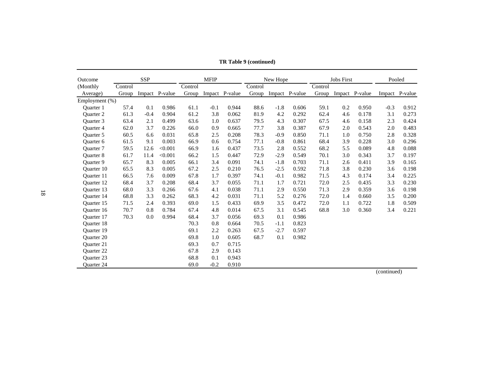| Outcome           |         | <b>SSP</b> |                |         | <b>MFIP</b> |                |         | New Hope |                |         | <b>Jobs First</b> |                | Pooled                     |                |
|-------------------|---------|------------|----------------|---------|-------------|----------------|---------|----------|----------------|---------|-------------------|----------------|----------------------------|----------------|
| (Monthly)         | Control |            |                | Control |             |                | Control |          |                | Control |                   |                |                            |                |
| Average)          | Group   |            | Impact P-value | Group   |             | Impact P-value | Group   |          | Impact P-value | Group   |                   | Impact P-value |                            | Impact P-value |
| Employment $(\%)$ |         |            |                |         |             |                |         |          |                |         |                   |                |                            |                |
| <b>Ouarter</b> 1  | 57.4    | 0.1        | 0.986          | 61.1    | $-0.1$      | 0.944          | 88.6    | $-1.8$   | 0.606          | 59.1    | 0.2               | 0.950          | $-0.3$                     | 0.912          |
| <b>Ouarter 2</b>  | 61.3    | $-0.4$     | 0.904          | 61.2    | 3.8         | 0.062          | 81.9    | 4.2      | 0.292          | 62.4    | 4.6               | 0.178          | 3.1                        | 0.273          |
| Quarter 3         | 63.4    | 2.1        | 0.499          | 63.6    | 1.0         | 0.637          | 79.5    | 4.3      | 0.307          | 67.5    | 4.6               | 0.158          | 2.3                        | 0.424          |
| <b>Ouarter 4</b>  | 62.0    | 3.7        | 0.226          | 66.0    | 0.9         | 0.665          | 77.7    | 3.8      | 0.387          | 67.9    | 2.0               | 0.543          | 2.0                        | 0.483          |
| <b>Ouarter 5</b>  | 60.5    | 6.6        | 0.031          | 65.8    | 2.5         | 0.208          | 78.3    | $-0.9$   | 0.850          | 71.1    | 1.0               | 0.750          | 2.8                        | 0.328          |
| Quarter 6         | 61.5    | 9.1        | 0.003          | 66.9    | 0.6         | 0.754          | 77.1    | $-0.8$   | 0.861          | 68.4    | 3.9               | 0.228          | 3.0                        | 0.296          |
| <b>Ouarter</b> 7  | 59.5    | 12.6       | < 0.001        | 66.9    | 1.6         | 0.437          | 73.5    | 2.8      | 0.552          | 68.2    | 5.5               | 0.089          | 4.8                        | 0.088          |
| <b>Ouarter 8</b>  | 61.7    | 11.4       | < 0.001        | 66.2    | 1.5         | 0.447          | 72.9    | $-2.9$   | 0.549          | 70.1    | 3.0               | 0.343          | 3.7                        | 0.197          |
| <b>Ouarter 9</b>  | 65.7    | 8.3        | 0.005          | 66.1    | 3.4         | 0.091          | 74.1    | $-1.8$   | 0.703          | 71.1    | 2.6               | 0.411          | 3.9                        | 0.165          |
| <b>Ouarter 10</b> | 65.5    | 8.3        | 0.005          | 67.2    | 2.5         | 0.210          | 76.5    | $-2.5$   | 0.592          | 71.8    | 3.8               | 0.230          | 3.6                        | 0.198          |
| <b>Ouarter</b> 11 | 66.5    | 7.6        | 0.009          | 67.8    | 1.7         | 0.397          | 74.1    | $-0.1$   | 0.982          | 71.5    | 4.3               | 0.174          | 3.4                        | 0.225          |
| <b>Ouarter 12</b> | 68.4    | 3.7        | 0.208          | 68.4    | 3.7         | 0.055          | 71.1    | 1.7      | 0.721          | 72.0    | 2.5               | 0.435          | 3.3                        | 0.230          |
| <b>Ouarter 13</b> | 68.0    | 3.3        | 0.266          | 67.6    | 4.1         | 0.038          | 71.1    | 2.9      | 0.550          | 71.3    | 2.9               | 0.359          | 3.6                        | 0.198          |
| <b>Ouarter 14</b> | 68.8    | 3.3        | 0.262          | 68.3    | 4.2         | 0.031          | 71.1    | 5.2      | 0.276          | 72.0    | 1.4               | 0.660          | 3.5                        | 0.200          |
| <b>Ouarter</b> 15 | 71.5    | 2.4        | 0.393          | 69.0    | 1.5         | 0.433          | 69.9    | 3.5      | 0.472          | 72.0    | 1.1               | 0.722          | 1.8                        | 0.509          |
| Quarter 16        | 70.7    | 0.8        | 0.784          | 67.4    | 4.8         | 0.014          | 67.5    | 3.1      | 0.545          | 68.8    | 3.0               | 0.360          | 3.4                        | 0.221          |
| Ouarter 17        | 70.3    | 0.0        | 0.994          | 68.4    | 3.7         | 0.056          | 69.3    | 0.1      | 0.986          |         |                   |                |                            |                |
| Quarter 18        |         |            |                | 70.3    | 0.8         | 0.664          | 70.5    | $-1.1$   | 0.823          |         |                   |                |                            |                |
| <b>Ouarter 19</b> |         |            |                | 69.1    | 2.2         | 0.263          | 67.5    | $-2.7$   | 0.597          |         |                   |                |                            |                |
| <b>Ouarter 20</b> |         |            |                | 69.8    | 1.0         | 0.605          | 68.7    | 0.1      | 0.982          |         |                   |                |                            |                |
| <b>Ouarter 21</b> |         |            |                | 69.3    | 0.7         | 0.715          |         |          |                |         |                   |                |                            |                |
| <b>Ouarter 22</b> |         |            |                | 67.8    | 2.9         | 0.143          |         |          |                |         |                   |                |                            |                |
| <b>Ouarter 23</b> |         |            |                | 68.8    | 0.1         | 0.943          |         |          |                |         |                   |                |                            |                |
| <b>Ouarter 24</b> |         |            |                | 69.0    | $-0.2$      | 0.910          |         |          |                |         |                   |                | $\ell = \pm 1$ and $\pm 1$ |                |

**TR Table 9 (continued)**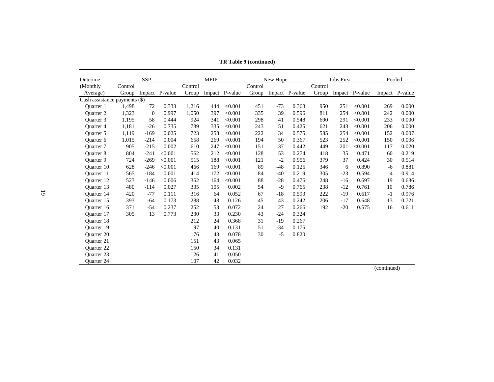| Outcome                       |         | <b>SSP</b>     |                |         | <b>MFIP</b> |                |         | New Hope |                |         | <b>Jobs First</b> |                | Pooled |                |
|-------------------------------|---------|----------------|----------------|---------|-------------|----------------|---------|----------|----------------|---------|-------------------|----------------|--------|----------------|
| (Monthly                      | Control |                |                | Control |             |                | Control |          |                | Control |                   |                |        |                |
| Average)                      | Group   |                | Impact P-value | Group   |             | Impact P-value | Group   |          | Impact P-value | Group   |                   | Impact P-value |        | Impact P-value |
| Cash assistance payments (\$) |         |                |                |         |             |                |         |          |                |         |                   |                |        |                |
| <b>Ouarter</b> 1              | 1,498   | 72             | 0.333          | 1,216   | 444         | < 0.001        | 451     | $-73$    | 0.368          | 950     | 251               | < 0.001        | 269    | 0.000          |
| Ouarter 2                     | 1,323   | $\overline{0}$ | 0.997          | 1.050   | 397         | < 0.001        | 335     | 39       | 0.596          | 811     | 254               | < 0.001        | 242    | 0.000          |
| Ouarter 3                     | 1,195   | 58             | 0.444          | 924     | 341         | < 0.001        | 298     | 41       | 0.548          | 690     | 291               | < 0.001        | 233    | 0.000          |
| Quarter 4                     | 1,181   | $-26$          | 0.735          | 789     | 335         | < 0.001        | 243     | 51       | 0.425          | 621     | 243               | < 0.001        | 206    | 0.000          |
| Ouarter 5                     | 1,119   | $-169$         | 0.025          | 723     | 258         | < 0.001        | 222     | 34       | 0.575          | 585     | 254               | < 0.001        | 152    | 0.007          |
| <b>Ouarter 6</b>              | 1,015   | $-214$         | 0.004          | 658     | 269         | < 0.001        | 194     | 50       | 0.367          | 523     | 252               | < 0.001        | 150    | 0.006          |
| <b>Ouarter</b> 7              | 905     | $-215$         | 0.002          | 610     | 247         | < 0.001        | 151     | 37       | 0.442          | 449     | 201               | < 0.001        | 117    | 0.020          |
| <b>Ouarter 8</b>              | 804     | $-241$         | < 0.001        | 562     | 212         | < 0.001        | 128     | 53       | 0.274          | 418     | 35                | 0.471          | 60     | 0.219          |
| <b>Ouarter 9</b>              | 724     | $-269$         | < 0.001        | 515     | 188         | < 0.001        | 121     | $-2$     | 0.956          | 379     | 37                | 0.424          | 30     | 0.514          |
| <b>Ouarter</b> 10             | 628     | $-246$         | < 0.001        | 466     | 169         | < 0.001        | 89      | $-48$    | 0.125          | 346     | 6                 | 0.890          | -6     | 0.881          |
| Ouarter 11                    | 565     | $-184$         | 0.001          | 414     | 172         | < 0.001        | 84      | $-40$    | 0.219          | 305     | $-23$             | 0.594          | 4      | 0.914          |
| Ouarter 12                    | 523     | $-146$         | 0.006          | 362     | 164         | < 0.001        | 88      | $-28$    | 0.476          | 248     | $-16$             | 0.697          | 19     | 0.636          |
| <b>Ouarter 13</b>             | 480     | $-114$         | 0.027          | 335     | 105         | 0.002          | 54      | $-9$     | 0.765          | 238     | $-12$             | 0.761          | 10     | 0.786          |
| <b>Ouarter</b> 14             | 420     | $-77$          | 0.111          | 316     | 64          | 0.052          | 67      | $-18$    | 0.593          | 222     | $-19$             | 0.617          | $-1$   | 0.976          |
| Ouarter 15                    | 393     | $-64$          | 0.173          | 288     | 48          | 0.126          | 45      | 43       | 0.242          | 206     | $-17$             | 0.648          | 13     | 0.721          |
| <b>Ouarter</b> 16             | 371     | $-54$          | 0.237          | 252     | 53          | 0.072          | 24      | 27       | 0.266          | 192     | $-20$             | 0.575          | 16     | 0.611          |
| Ouarter 17                    | 305     | 13             | 0.773          | 230     | 33          | 0.230          | 43      | $-24$    | 0.324          |         |                   |                |        |                |
| <b>Ouarter 18</b>             |         |                |                | 212     | 24          | 0.368          | 31      | $-19$    | 0.267          |         |                   |                |        |                |
| <b>Ouarter 19</b>             |         |                |                | 197     | 40          | 0.131          | 51      | $-34$    | 0.175          |         |                   |                |        |                |
| <b>Ouarter 20</b>             |         |                |                | 176     | 43          | 0.078          | 30      | $-5$     | 0.820          |         |                   |                |        |                |
| <b>Ouarter 21</b>             |         |                |                | 151     | 43          | 0.065          |         |          |                |         |                   |                |        |                |
| Quarter 22                    |         |                |                | 150     | 34          | 0.131          |         |          |                |         |                   |                |        |                |
| <b>Ouarter 23</b>             |         |                |                | 126     | 41          | 0.050          |         |          |                |         |                   |                |        |                |
| Quarter 24                    |         |                |                | 107     | 42          | 0.032          |         |          |                |         |                   |                |        |                |

**TR Table 9 (continued)**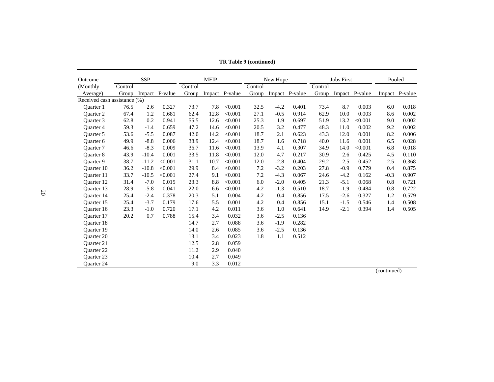| Outcome                      |         | <b>SSP</b> |                |         | <b>MFIP</b> |                |         | New Hope |                |         | <b>Jobs First</b> |                | Pooled                       |                |
|------------------------------|---------|------------|----------------|---------|-------------|----------------|---------|----------|----------------|---------|-------------------|----------------|------------------------------|----------------|
| (Monthly)                    | Control |            |                | Control |             |                | Control |          |                | Control |                   |                |                              |                |
| Average)                     | Group   |            | Impact P-value | Group   |             | Impact P-value | Group   |          | Impact P-value | Group   |                   | Impact P-value |                              | Impact P-value |
| Received cash assistance (%) |         |            |                |         |             |                |         |          |                |         |                   |                |                              |                |
| Ouarter 1                    | 76.5    | 2.6        | 0.327          | 73.7    | 7.8         | < 0.001        | 32.5    | $-4.2$   | 0.401          | 73.4    | 8.7               | 0.003          | 6.0                          | 0.018          |
| <b>Ouarter 2</b>             | 67.4    | 1.2        | 0.681          | 62.4    | 12.8        | < 0.001        | 27.1    | $-0.5$   | 0.914          | 62.9    | 10.0              | 0.003          | 8.6                          | 0.002          |
| Ouarter 3                    | 62.8    | 0.2        | 0.941          | 55.5    | 12.6        | < 0.001        | 25.3    | 1.9      | 0.697          | 51.9    | 13.2              | < 0.001        | 9.0                          | 0.002          |
| <b>Ouarter 4</b>             | 59.3    | $-1.4$     | 0.659          | 47.2    | 14.6        | < 0.001        | 20.5    | 3.2      | 0.477          | 48.3    | 11.0              | 0.002          | 9.2                          | 0.002          |
| <b>Ouarter 5</b>             | 53.6    | $-5.5$     | 0.087          | 42.0    | 14.2        | < 0.001        | 18.7    | 2.1      | 0.623          | 43.3    | 12.0              | 0.001          | 8.2                          | 0.006          |
| <b>Ouarter 6</b>             | 49.9    | $-8.8$     | 0.006          | 38.9    | 12.4        | < 0.001        | 18.7    | 1.6      | 0.718          | 40.0    | 11.6              | 0.001          | 6.5                          | 0.028          |
| <b>Ouarter</b> 7             | 46.6    | $-8.3$     | 0.009          | 36.7    | 11.6        | < 0.001        | 13.9    | 4.1      | 0.307          | 34.9    | 14.0              | < 0.001        | 6.8                          | 0.018          |
| <b>Ouarter 8</b>             | 43.9    | $-10.4$    | 0.001          | 33.5    | 11.8        | < 0.001        | 12.0    | 4.7      | 0.217          | 30.9    | 2.6               | 0.425          | 4.5                          | 0.110          |
| <b>Ouarter 9</b>             | 38.7    | $-11.2$    | < 0.001        | 31.1    | 10.7        | < 0.001        | 12.0    | $-2.8$   | 0.404          | 29.2    | 2.5               | 0.452          | 2.5                          | 0.368          |
| Quarter 10                   | 36.2    | $-10.8$    | < 0.001        | 29.9    | 8.4         | < 0.001        | 7.2     | $-3.2$   | 0.203          | 27.8    | $-0.9$            | 0.779          | 0.4                          | 0.875          |
| Ouarter 11                   | 33.7    | $-10.5$    | < 0.001        | 27.4    | 9.1         | < 0.001        | 7.2     | $-4.3$   | 0.067          | 24.6    | $-4.2$            | 0.162          | $-0.3$                       | 0.907          |
| <b>Ouarter 12</b>            | 31.4    | $-7.0$     | 0.015          | 23.3    | 8.8         | < 0.001        | 6.0     | $-2.0$   | 0.405          | 21.3    | $-5.1$            | 0.068          | 0.8                          | 0.721          |
| <b>Ouarter 13</b>            | 28.9    | $-5.8$     | 0.041          | 22.0    | 6.6         | < 0.001        | 4.2     | $-1.3$   | 0.510          | 18.7    | $-1.9$            | 0.484          | 0.8                          | 0.722          |
| <b>Ouarter</b> 14            | 25.4    | $-2.4$     | 0.378          | 20.3    | 5.1         | 0.004          | 4.2     | 0.4      | 0.856          | 17.5    | $-2.6$            | 0.327          | 1.2                          | 0.579          |
| Ouarter 15                   | 25.4    | $-3.7$     | 0.179          | 17.6    | 5.5         | 0.001          | 4.2     | 0.4      | 0.856          | 15.1    | $-1.5$            | 0.546          | 1.4                          | 0.508          |
| <b>Ouarter</b> 16            | 23.3    | $-1.0$     | 0.720          | 17.1    | 4.2         | 0.011          | 3.6     | 1.0      | 0.641          | 14.9    | $-2.1$            | 0.394          | 1.4                          | 0.505          |
| Ouarter 17                   | 20.2    | 0.7        | 0.788          | 15.4    | 3.4         | 0.032          | 3.6     | $-2.5$   | 0.136          |         |                   |                |                              |                |
| <b>Ouarter 18</b>            |         |            |                | 14.7    | 2.7         | 0.088          | 3.6     | $-1.9$   | 0.282          |         |                   |                |                              |                |
| <b>Ouarter 19</b>            |         |            |                | 14.0    | 2.6         | 0.085          | 3.6     | $-2.5$   | 0.136          |         |                   |                |                              |                |
| <b>Ouarter 20</b>            |         |            |                | 13.1    | 3.4         | 0.023          | 1.8     | 1.1      | 0.512          |         |                   |                |                              |                |
| Quarter 21                   |         |            |                | 12.5    | 2.8         | 0.059          |         |          |                |         |                   |                |                              |                |
| Quarter 22                   |         |            |                | 11.2    | 2.9         | 0.040          |         |          |                |         |                   |                |                              |                |
| <b>Ouarter 23</b>            |         |            |                | 10.4    | 2.7         | 0.049          |         |          |                |         |                   |                |                              |                |
| <b>Ouarter 24</b>            |         |            |                | 9.0     | 3.3         | 0.012          |         |          |                |         |                   |                | $\ell = \ell^* = \mathbb{N}$ |                |

**TR Table 9 (continued)**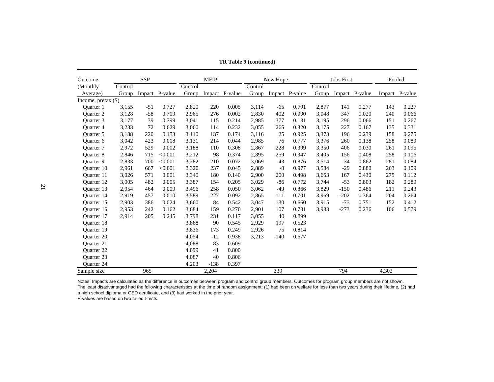| Outcome             |         | <b>SSP</b> |                |         | <b>MFIP</b> |                |         | New Hope |                |         | <b>Jobs First</b> |                | Pooled |                |
|---------------------|---------|------------|----------------|---------|-------------|----------------|---------|----------|----------------|---------|-------------------|----------------|--------|----------------|
| (Monthly)           | Control |            |                | Control |             |                | Control |          |                | Control |                   |                |        |                |
| Average)            | Group   |            | Impact P-value | Group   |             | Impact P-value | Group   |          | Impact P-value | Group   |                   | Impact P-value |        | Impact P-value |
| Income, pretax (\$) |         |            |                |         |             |                |         |          |                |         |                   |                |        |                |
| <b>Ouarter</b> 1    | 3,155   | $-51$      | 0.727          | 2,820   | 220         | 0.005          | 3,114   | $-65$    | 0.791          | 2,877   | 141               | 0.277          | 143    | 0.227          |
| <b>Ouarter 2</b>    | 3,128   | $-58$      | 0.709          | 2,965   | 276         | 0.002          | 2,830   | 402      | 0.090          | 3,048   | 347               | 0.020          | 240    | 0.066          |
| Ouarter 3           | 3,177   | 39         | 0.799          | 3,041   | 115         | 0.214          | 2,985   | 377      | 0.131          | 3,195   | 296               | 0.066          | 151    | 0.267          |
| <b>Ouarter 4</b>    | 3,233   | 72         | 0.629          | 3,060   | 114         | 0.232          | 3,055   | 265      | 0.320          | 3,175   | 227               | 0.167          | 135    | 0.331          |
| <b>Ouarter 5</b>    | 3,188   | 220        | 0.153          | 3,110   | 137         | 0.174          | 3,116   | 25       | 0.925          | 3,373   | 196               | 0.239          | 158    | 0.275          |
| Quarter 6           | 3,042   | 423        | 0.008          | 3,131   | 214         | 0.044          | 2,985   | 76       | 0.777          | 3,376   | 260               | 0.138          | 258    | 0.089          |
| <b>Ouarter</b> 7    | 2,972   | 529        | 0.002          | 3,188   | 110         | 0.308          | 2,867   | 228      | 0.399          | 3,350   | 406               | 0.030          | 261    | 0.095          |
| <b>Ouarter 8</b>    | 2,846   | 715        | < 0.001        | 3,212   | 98          | 0.374          | 2,895   | 259      | 0.347          | 3,405   | 156               | 0.408          | 258    | 0.106          |
| <b>Ouarter 9</b>    | 2,833   | 700        | < 0.001        | 3,282   | 210         | 0.072          | 3,069   | $-43$    | 0.876          | 3,514   | 34                | 0.862          | 281    | 0.084          |
| Quarter 10          | 2,961   | 667        | < 0.001        | 3,320   | 237         | 0.045          | 2,889   | $-8$     | 0.977          | 3,584   | $-29$             | 0.880          | 263    | 0.109          |
| <b>Ouarter</b> 11   | 3,026   | 571        | 0.001          | 3,340   | 180         | 0.140          | 2,900   | 200      | 0.498          | 3,653   | 167               | 0.430          | 275    | 0.112          |
| Quarter 12          | 3,005   | 482        | 0.005          | 3,387   | 154         | 0.205          | 3,029   | $-86$    | 0.772          | 3,744   | $-53$             | 0.803          | 182    | 0.289          |
| <b>Ouarter</b> 13   | 2,954   | 464        | 0.009          | 3,496   | 258         | 0.050          | 3,062   | $-49$    | 0.866          | 3,829   | $-150$            | 0.486          | 211    | 0.243          |
| <b>Ouarter 14</b>   | 2,919   | 457        | 0.010          | 3,589   | 227         | 0.092          | 2,865   | 111      | 0.701          | 3,969   | $-202$            | 0.364          | 204    | 0.264          |
| Ouarter 15          | 2,903   | 386        | 0.024          | 3,660   | 84          | 0.542          | 3,047   | 130      | 0.660          | 3,915   | $-73$             | 0.751          | 152    | 0.412          |
| Quarter 16          | 2,953   | 242        | 0.162          | 3,684   | 159         | 0.270          | 2,901   | 107      | 0.731          | 3,983   | $-273$            | 0.236          | 106    | 0.579          |
| Quarter 17          | 2,914   | 205        | 0.245          | 3,798   | 231         | 0.117          | 3,055   | 40       | 0.899          |         |                   |                |        |                |
| Quarter 18          |         |            |                | 3,868   | 90          | 0.545          | 2,929   | 197      | 0.523          |         |                   |                |        |                |
| <b>Ouarter 19</b>   |         |            |                | 3,836   | 173         | 0.249          | 2.926   | 75       | 0.814          |         |                   |                |        |                |
| <b>Ouarter 20</b>   |         |            |                | 4,054   | $-12$       | 0.938          | 3,213   | $-140$   | 0.677          |         |                   |                |        |                |
| <b>Ouarter 21</b>   |         |            |                | 4,088   | 83          | 0.609          |         |          |                |         |                   |                |        |                |
| <b>Ouarter 22</b>   |         |            |                | 4,099   | 41          | 0.800          |         |          |                |         |                   |                |        |                |
| <b>Ouarter 23</b>   |         |            |                | 4,087   | 40          | 0.806          |         |          |                |         |                   |                |        |                |
| Quarter 24          |         |            |                | 4,203   | $-138$      | 0.397          |         |          |                |         |                   |                |        |                |
| Sample size         |         | 965        |                |         | 2,204       |                |         | 339      |                |         | 794               |                | 4,302  |                |

**TR Table 9 (continued)**

Notes: Impacts are calculated as the difference in outcomes between program and control group members. Outcomes for program group members are not shown. The least disadvantaged had the following characteristics at the time of random assignment: (1) had been on welfare for less than two years during their lifetime, (2) had a high school diploma or GED certificate, and (3) had worked in the prior year.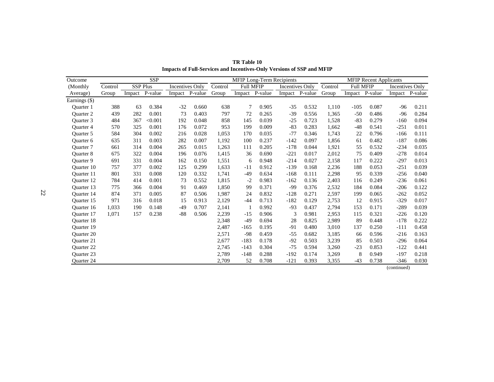| Outcome           |         |                 | <b>SSP</b> |                 |                |         |           |         | MFIP Long-Term Recipients |         |         |                  | <b>MFIP Recent Applicants</b> |                        |         |
|-------------------|---------|-----------------|------------|-----------------|----------------|---------|-----------|---------|---------------------------|---------|---------|------------------|-------------------------------|------------------------|---------|
| (Monthly)         | Control | <b>SSP Plus</b> |            | Incentives Only |                | Control | Full MFIP |         | Incentives Only           |         | Control | <b>Full MFIP</b> |                               | <b>Incentives Only</b> |         |
| Average)          | Group   | Impact          | P-value    |                 | Impact P-value | Group   | Impact    | P-value | Impact                    | P-value | Group   | Impact           | P-value                       | Impact                 | P-value |
| Earnings (\$)     |         |                 |            |                 |                |         |           |         |                           |         |         |                  |                               |                        |         |
| <b>Ouarter</b> 1  | 388     | 63              | 0.384      | $-32$           | 0.660          | 638     | 7         | 0.905   | $-35$                     | 0.532   | 1,110   | $-105$           | 0.087                         | $-96$                  | 0.211   |
| <b>Ouarter 2</b>  | 439     | 282             | 0.001      | 73              | 0.403          | 797     | 72        | 0.265   | $-39$                     | 0.556   | 1,365   | $-50$            | 0.486                         | $-96$                  | 0.284   |
| <b>Ouarter 3</b>  | 484     | 367             | < 0.001    | 192             | 0.048          | 858     | 145       | 0.039   | $-25$                     | 0.723   | 1,528   | $-83$            | 0.279                         | $-160$                 | 0.094   |
| Quarter 4         | 570     | 325             | 0.001      | 176             | 0.072          | 953     | 199       | 0.009   | $-83$                     | 0.283   | 1,662   | $-48$            | 0.541                         | $-251$                 | 0.011   |
| <b>Ouarter 5</b>  | 584     | 304             | 0.002      | 216             | 0.028          | 1,053   | 170       | 0.035   | $-77$                     | 0.346   | 1,743   | 22               | 0.796                         | $-166$                 | 0.111   |
| Quarter 6         | 635     | 311             | 0.003      | 282             | 0.007          | 1,192   | 100       | 0.237   | $-142$                    | 0.097   | 1,856   | 61               | 0.482                         | $-187$                 | 0.086   |
| <b>Ouarter</b> 7  | 661     | 314             | 0.004      | 265             | 0.015          | 1,263   | 111       | 0.205   | $-178$                    | 0.044   | 1,921   | 55               | 0.532                         | $-234$                 | 0.035   |
| <b>Ouarter 8</b>  | 675     | 322             | 0.004      | 196             | 0.076          | 1,415   | 36        | 0.690   | $-221$                    | 0.017   | 2,012   | 75               | 0.409                         | $-278$                 | 0.014   |
| Quarter 9         | 691     | 331             | 0.004      | 162             | 0.150          | 1,551   | 6         | 0.948   | $-214$                    | 0.027   | 2,158   | 117              | 0.222                         | $-297$                 | 0.013   |
| <b>Ouarter</b> 10 | 757     | 377             | 0.002      | 125             | 0.299          | 1,633   | $-11$     | 0.912   | $-139$                    | 0.168   | 2,236   | 188              | 0.053                         | $-251$                 | 0.039   |
| <b>Ouarter</b> 11 | 801     | 331             | 0.008      | 120             | 0.332          | 1,741   | $-49$     | 0.634   | $-168$                    | 0.111   | 2,298   | 95               | 0.339                         | $-256$                 | 0.040   |
| <b>Ouarter</b> 12 | 784     | 414             | 0.001      | 73              | 0.552          | 1,815   | $-2$      | 0.983   | $-162$                    | 0.136   | 2,403   | 116              | 0.249                         | $-236$                 | 0.061   |
| <b>Ouarter 13</b> | 775     | 366             | 0.004      | 91              | 0.469          | 1,850   | 99        | 0.371   | -99                       | 0.376   | 2,532   | 184              | 0.084                         | $-206$                 | 0.122   |
| <b>Ouarter</b> 14 | 874     | 371             | 0.005      | 87              | 0.506          | 1,987   | 24        | 0.832   | $-128$                    | 0.271   | 2,597   | 199              | 0.065                         | $-262$                 | 0.052   |
| <b>Ouarter 15</b> | 971     | 316             | 0.018      | 15              | 0.913          | 2,129   | $-44$     | 0.713   | $-182$                    | 0.129   | 2,753   | 12               | 0.915                         | $-329$                 | 0.017   |
| <b>Ouarter</b> 16 | 1,033   | 190             | 0.148      | $-49$           | 0.707          | 2,141   |           | 0.992   | $-93$                     | 0.437   | 2,794   | 153              | 0.171                         | $-289$                 | 0.039   |
| Quarter 17        | 1,071   | 157             | 0.238      | $-88$           | 0.506          | 2,239   | $-15$     | 0.906   | 3                         | 0.981   | 2,953   | 115              | 0.321                         | $-226$                 | 0.120   |
| Quarter 18        |         |                 |            |                 |                | 2,348   | $-49$     | 0.694   | 28                        | 0.825   | 2,989   | 89               | 0.448                         | $-178$                 | 0.222   |
| <b>Ouarter</b> 19 |         |                 |            |                 |                | 2,487   | $-165$    | 0.195   | $-91$                     | 0.480   | 3,010   | 137              | 0.250                         | $-111$                 | 0.458   |
| <b>Ouarter 20</b> |         |                 |            |                 |                | 2,571   | $-98$     | 0.459   | $-55$                     | 0.682   | 3,185   | 66               | 0.596                         | $-216$                 | 0.163   |
| <b>Ouarter 21</b> |         |                 |            |                 |                | 2,677   | $-183$    | 0.178   | $-92$                     | 0.503   | 3,239   | 85               | 0.503                         | $-296$                 | 0.064   |
| Quarter 22        |         |                 |            |                 |                | 2,745   | $-143$    | 0.304   | $-75$                     | 0.594   | 3,260   | $-23$            | 0.853                         | $-122$                 | 0.441   |
| <b>Ouarter 23</b> |         |                 |            |                 |                | 2,789   | $-148$    | 0.288   | $-192$                    | 0.174   | 3,269   | 8                | 0.949                         | $-197$                 | 0.218   |
| Quarter 24        |         |                 |            |                 |                | 2,709   | 52        | 0.708   | $-121$                    | 0.393   | 3,355   | $-43$            | 0.738                         | $-346$                 | 0.030   |

**TR Table 10 Impacts of Full-Services and Incentives-Only Versions of SSP and MFIP**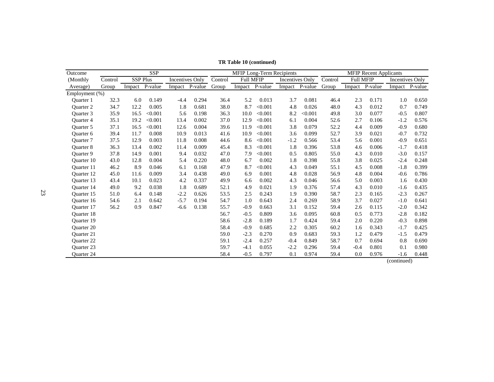| Outcome              |         |                 | <b>SSP</b> |                 |                |         |                |         | <b>MFIP Long-Term Recipients</b> |                |         |                  | <b>MFIP Recent Applicants</b> |                      |                |
|----------------------|---------|-----------------|------------|-----------------|----------------|---------|----------------|---------|----------------------------------|----------------|---------|------------------|-------------------------------|----------------------|----------------|
| (Monthly)            | Control | <b>SSP Plus</b> |            | Incentives Only |                | Control | Full MFIP      |         | Incentives Only                  |                | Control | <b>Full MFIP</b> |                               | Incentives Only      |                |
| Average)             | Group   | Impact P-value  |            |                 | Impact P-value | Group   | Impact P-value |         |                                  | Impact P-value | Group   |                  | Impact P-value                |                      | Impact P-value |
| Employment (%)       |         |                 |            |                 |                |         |                |         |                                  |                |         |                  |                               |                      |                |
| Ouarter 1            | 32.3    | 6.0             | 0.149      | $-4.4$          | 0.294          | 36.4    | 5.2            | 0.013   | 3.7                              | 0.081          | 46.4    | 2.3              | 0.171                         | 1.0                  | 0.650          |
| <b>Ouarter 2</b>     | 34.7    | 12.2            | 0.005      | 1.8             | 0.681          | 38.0    | 8.7            | < 0.001 | 4.8                              | 0.026          | 48.0    | 4.3              | 0.012                         | 0.7                  | 0.749          |
| Ouarter <sub>3</sub> | 35.9    | 16.5            | < 0.001    | 5.6             | 0.198          | 36.3    | 10.0           | < 0.001 | 8.2                              | < 0.001        | 49.8    | 3.0              | 0.077                         | $-0.5$               | 0.807          |
| Quarter 4            | 35.1    | 19.2            | < 0.001    | 13.4            | 0.002          | 37.0    | 12.9           | < 0.001 | 6.1                              | 0.004          | 52.6    | 2.7              | 0.106                         | $-1.2$               | 0.576          |
| Ouarter 5            | 37.1    | 16.5            | < 0.001    | 12.6            | 0.004          | 39.6    | 11.9           | < 0.001 | 3.8                              | 0.079          | 52.2    | 4.4              | 0.009                         | $-0.9$               | 0.680          |
| <b>Ouarter 6</b>     | 39.4    | 11.7            | 0.008      | 10.9            | 0.013          | 41.6    | 10.9           | < 0.001 | 3.6                              | 0.099          | 52.7    | 3.9              | 0.021                         | $-0.7$               | 0.732          |
| <b>Ouarter</b> 7     | 37.5    | 12.9            | 0.003      | 11.8            | 0.008          | 44.6    | 8.6            | < 0.001 | $-1.2$                           | 0.566          | 53.4    | 5.6              | 0.001                         | $-0.9$               | 0.651          |
| <b>Ouarter 8</b>     | 36.3    | 13.4            | 0.002      | 11.4            | 0.009          | 45.4    | 8.3            | < 0.001 | 1.8                              | 0.396          | 53.8    | 4.6              | 0.006                         | $-1.7$               | 0.418          |
| <b>Ouarter 9</b>     | 37.8    | 14.9            | 0.001      | 9.4             | 0.032          | 47.0    | 7.9            | < 0.001 | 0.5                              | 0.805          | 55.0    | 4.3              | 0.010                         | $-3.0$               | 0.157          |
| <b>Ouarter</b> 10    | 43.0    | 12.8            | 0.004      | 5.4             | 0.220          | 48.0    | 6.7            | 0.002   | 1.8                              | 0.398          | 55.8    | 3.8              | 0.025                         | $-2.4$               | 0.248          |
| Ouarter 11           | 46.2    | 8.9             | 0.046      | 6.1             | 0.168          | 47.9    | 8.7            | < 0.001 | 4.3                              | 0.049          | 55.1    | 4.5              | 0.008                         | $-1.8$               | 0.399          |
| <b>Ouarter</b> 12    | 45.0    | 11.6            | 0.009      | 3.4             | 0.438          | 49.0    | 6.9            | 0.001   | 4.8                              | 0.028          | 56.9    | 4.8              | 0.004                         | $-0.6$               | 0.786          |
| Ouarter 13           | 43.4    | 10.1            | 0.023      | 4.2             | 0.337          | 49.9    | 6.6            | 0.002   | 4.3                              | 0.046          | 56.6    | 5.0              | 0.003                         | 1.6                  | 0.430          |
| <b>Ouarter</b> 14    | 49.0    | 9.2             | 0.038      | 1.8             | 0.689          | 52.1    | 4.9            | 0.021   | 1.9                              | 0.376          | 57.4    | 4.3              | 0.010                         | $-1.6$               | 0.435          |
| Quarter 15           | 51.0    | 6.4             | 0.148      | $-2.2$          | 0.626          | 53.5    | 2.5            | 0.243   | 1.9                              | 0.390          | 58.7    | 2.3              | 0.165                         | $-2.3$               | 0.267          |
| <b>Ouarter</b> 16    | 54.6    | 2.1             | 0.642      | $-5.7$          | 0.194          | 54.7    | 1.0            | 0.643   | 2.4                              | 0.269          | 58.9    | 3.7              | 0.027                         | $-1.0$               | 0.641          |
| <b>Ouarter</b> 17    | 56.2    | 0.9             | 0.847      | $-6.6$          | 0.138          | 55.7    | $-0.9$         | 0.663   | 3.1                              | 0.152          | 59.4    | 2.6              | 0.115                         | $-2.0$               | 0.342          |
| <b>Ouarter 18</b>    |         |                 |            |                 |                | 56.7    | $-0.5$         | 0.809   | 3.6                              | 0.095          | 60.8    | 0.5              | 0.773                         | $-2.8$               | 0.182          |
| Quarter 19           |         |                 |            |                 |                | 58.6    | $-2.8$         | 0.189   | 1.7                              | 0.424          | 59.4    | 2.0              | 0.220                         | $-0.3$               | 0.898          |
| <b>Ouarter 20</b>    |         |                 |            |                 |                | 58.4    | $-0.9$         | 0.685   | 2.2                              | 0.305          | 60.2    | 1.6              | 0.343                         | $-1.7$               | 0.425          |
| <b>Ouarter 21</b>    |         |                 |            |                 |                | 59.0    | $-2.3$         | 0.270   | 0.9                              | 0.683          | 59.3    | 1.2              | 0.479                         | $-1.5$               | 0.479          |
| <b>Ouarter 22</b>    |         |                 |            |                 |                | 59.1    | $-2.4$         | 0.257   | $-0.4$                           | 0.849          | 58.7    | 0.7              | 0.694                         | 0.8                  | 0.690          |
| <b>Ouarter 23</b>    |         |                 |            |                 |                | 59.7    | $-4.1$         | 0.055   | $-2.2$                           | 0.296          | 59.4    | $-0.4$           | 0.801                         | 0.1                  | 0.980          |
| <b>Ouarter 24</b>    |         |                 |            |                 |                | 58.4    | $-0.5$         | 0.797   | 0.1                              | 0.974          | 59.4    | 0.0              | 0.976                         | $-1.6$<br>(constant) | 0.448          |

**TR Table 10 (continued)**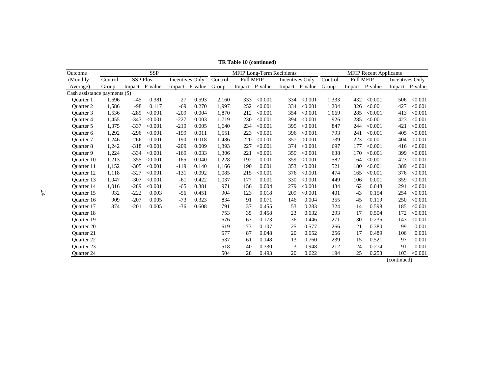| Outcome                       |         |                 | <b>SSP</b> |                        |                |         |                  |         | MFIP Long-Term Recipients |         |         |                  | <b>MFIP Recent Applicants</b> |                 |                |
|-------------------------------|---------|-----------------|------------|------------------------|----------------|---------|------------------|---------|---------------------------|---------|---------|------------------|-------------------------------|-----------------|----------------|
| (Monthly)                     | Control | <b>SSP Plus</b> |            | <b>Incentives Only</b> |                | Control | <b>Full MFIP</b> |         | <b>Incentives Only</b>    |         | Control | <b>Full MFIP</b> |                               | Incentives Only |                |
| Average)                      | Group   | Impact          | P-value    |                        | Impact P-value | Group   | Impact           | P-value | Impact P-value            |         | Group   |                  | Impact P-value                |                 | Impact P-value |
| Cash assistance payments (\$) |         |                 |            |                        |                |         |                  |         |                           |         |         |                  |                               |                 |                |
| <b>Ouarter</b> 1              | 1,696   | $-45$           | 0.381      | 27                     | 0.593          | 2,160   | 333              | < 0.001 | 334                       | < 0.001 | 1,333   | 432              | < 0.001                       | 506             | < 0.001        |
| Ouarter 2                     | 1,586   | $-98$           | 0.117      | $-69$                  | 0.270          | 1,997   | 252              | < 0.001 | 334                       | < 0.001 | 1,204   | 326              | < 0.001                       | 427             | < 0.001        |
| Ouarter 3                     | 1,536   | $-289$          | < 0.001    | $-209$                 | 0.004          | 1,870   | 212              | < 0.001 | 354                       | < 0.001 | 1,069   | 285              | < 0.001                       | 413             | < 0.001        |
| Ouarter 4                     | 1,455   | $-347$          | < 0.001    | $-227$                 | 0.003          | 1,719   | 230              | < 0.001 | 394                       | < 0.001 | 926     | 285              | < 0.001                       | 423             | < 0.001        |
| <b>Ouarter</b> 5              | 1,375   | $-337$          | < 0.001    | $-219$                 | 0.005          | 1,640   | 234              | < 0.001 | 395                       | < 0.001 | 847     | 244              | < 0.001                       | 421             | < 0.001        |
| Quarter 6                     | 1,292   | $-296$          | < 0.001    | $-199$                 | 0.011          | 1,551   | 223              | < 0.001 | 396                       | < 0.001 | 793     | 241              | < 0.001                       | 405             | < 0.001        |
| Ouarter 7                     | 1,246   | $-266$          | 0.001      | $-190$                 | 0.018          | 1,486   | 220              | < 0.001 | 357                       | < 0.001 | 739     | 223              | < 0.001                       | 404             | < 0.001        |
| Ouarter 8                     | 1,242   | $-318$          | < 0.001    | $-209$                 | 0.009          | 1,393   | 227              | < 0.001 | 374                       | < 0.001 | 697     | 177              | < 0.001                       | 416             | < 0.001        |
| <b>Ouarter 9</b>              | 1,224   | $-334$          | < 0.001    | $-169$                 | 0.033          | 1,306   | 221              | < 0.001 | 359                       | < 0.001 | 638     | 170              | < 0.001                       | 399             | < 0.001        |
| <b>Ouarter</b> 10             | 1,213   | $-355$          | < 0.001    | $-165$                 | 0.040          | 1,228   | 192              | 0.001   | 359                       | < 0.001 | 582     | 164              | < 0.001                       | 423             | < 0.001        |
| Quarter 11                    | 1,152   | $-305$          | < 0.001    | $-119$                 | 0.140          | 1,166   | 190              | 0.001   | 353                       | < 0.001 | 521     | 180              | < 0.001                       | 389             | < 0.001        |
| <b>Ouarter</b> 12             | 1,118   | $-327$          | < 0.001    | $-131$                 | 0.092          | 1,085   | 215              | < 0.001 | 376                       | < 0.001 | 474     | 165              | < 0.001                       | 376             | < 0.001        |
| Ouarter 13                    | 1,047   | $-307$          | < 0.001    | $-61$                  | 0.422          | 1,037   | 177              | 0.001   | 330                       | < 0.001 | 449     | 106              | 0.001                         | 359             | < 0.001        |
| <b>Ouarter</b> 14             | 1,016   | $-289$          | < 0.001    | $-65$                  | 0.381          | 971     | 156              | 0.004   | 279                       | < 0.001 | 434     | 62               | 0.048                         | 291             | < 0.001        |
| <b>Ouarter</b> 15             | 932     | $-222$          | 0.003      | $-56$                  | 0.451          | 904     | 123              | 0.018   | 209                       | < 0.001 | 401     | 43               | 0.154                         | 254             | < 0.001        |
| Ouarter 16                    | 909     | $-207$          | 0.005      | $-73$                  | 0.323          | 834     | 91               | 0.071   | 146                       | 0.004   | 355     | 45               | 0.119                         | 250             | < 0.001        |
| <b>Ouarter</b> 17             | 874     | $-201$          | 0.005      | $-36$                  | 0.608          | 791     | 37               | 0.455   | 53                        | 0.283   | 324     | 14               | 0.598                         | 185             | < 0.001        |
| <b>Ouarter</b> 18             |         |                 |            |                        |                | 753     | 35               | 0.458   | 23                        | 0.632   | 293     | 17               | 0.504                         | 172             | < 0.001        |
| <b>Ouarter</b> 19             |         |                 |            |                        |                | 676     | 63               | 0.173   | 36                        | 0.446   | 271     | 30               | 0.235                         | 143             | < 0.001        |
| <b>Ouarter 20</b>             |         |                 |            |                        |                | 619     | 73               | 0.107   | 25                        | 0.577   | 266     | 21               | 0.380                         | 99              | 0.001          |
| <b>Ouarter 21</b>             |         |                 |            |                        |                | 577     | 87               | 0.048   | 20                        | 0.652   | 256     | 17               | 0.489                         | 106             | 0.001          |
| <b>Ouarter 22</b>             |         |                 |            |                        |                | 537     | 61               | 0.148   | 13                        | 0.760   | 239     | 15               | 0.521                         | 97              | 0.001          |
| <b>Ouarter 23</b>             |         |                 |            |                        |                | 518     | 40               | 0.330   | 3                         | 0.948   | 212     | 24               | 0.274                         | 91              | 0.001          |
| Quarter 24                    |         |                 |            |                        |                | 504     | 28               | 0.493   | 20                        | 0.622   | 194     | 25               | 0.253                         | 103             | < 0.001        |

**TR Table 10 (continued)**

24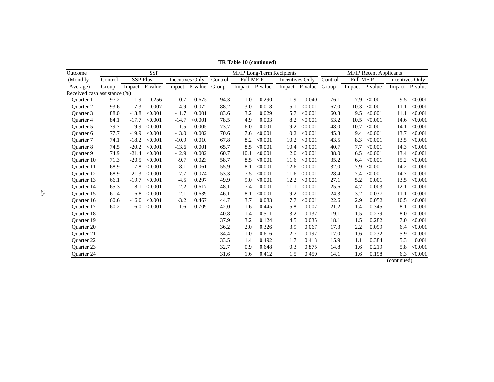| <b>SSP</b> Plus<br><b>Full MFIP</b><br><b>Incentives Only</b><br>Control<br><b>Full MFIP</b><br><b>Incentives Only</b><br>Control<br>Control<br>Incentives Only<br>(Monthly)<br>Impact P-value<br>Impact P-value<br>Group<br>Impact P-value<br>Impact P-value<br>Group<br>Impact P-value<br>Impact P-value<br>Group<br>Average)<br>Received cash assistance (%)<br>97.2<br>$-1.9$<br>0.256<br>0.675<br>94.3<br>0.290<br>7.9<br>$-0.7$<br>1.0<br>1.9<br>0.040<br>76.1<br>< 0.001<br>9.5<br>< 0.001<br>Ouarter 1<br>$-7.3$<br>0.007<br>$-4.9$<br>0.072<br>88.2<br>0.018<br>< 0.001<br>10.3<br>< 0.001<br>< 0.001<br>93.6<br>3.0<br>5.1<br>67.0<br><b>Ouarter 2</b><br>11.1<br>9.5<br>< 0.001<br>88.0<br>$-13.8$<br>< 0.001<br>$-11.7$<br>0.001<br>83.6<br>3.2<br>0.029<br>5.7<br>< 0.001<br>60.3<br>< 0.001<br>Ouarter 3<br>11.1<br>$-17.7$<br>$-14.7$<br>78.5<br>4.9<br>0.003<br>8.2<br>< 0.001<br>53.2<br>10.5<br>< 0.001<br>< 0.001<br><b>Ouarter 4</b><br>84.1<br>< 0.001<br>< 0.001<br>14.6<br>0.001<br>10.7<br>79.7<br>< 0.001<br>$-11.5$<br>0.005<br>73.7<br>6.0<br>9.2<br>< 0.001<br>48.0<br>< 0.001<br>14.1<br>< 0.001<br>$-19.9$<br>Ouarter 5<br>77.7<br>$-13.0$<br>0.002<br>< 0.001<br>10.2<br>< 0.001<br>13.7<br>< 0.001<br><b>Ouarter 6</b><br>< 0.001<br>70.6<br>7.6<br>< 0.001<br>45.3<br>9.4<br>$-19.9$<br>8.2<br>< 0.001<br>10.2<br>8.3<br>< 0.001<br>13.5<br>74.1<br>$-18.2$<br>< 0.001<br>$-10.9$<br>0.010<br>67.8<br>< 0.001<br>43.5<br>< 0.001<br><b>Ouarter</b> 7<br>8.5<br>74.5<br>< 0.001<br>0.001<br>65.7<br>< 0.001<br>< 0.001<br>7.7<br>< 0.001<br>14.3<br>< 0.001<br>$-20.2$<br>$-13.6$<br>10.4<br>40.7<br><b>Ouarter 8</b><br>74.9<br>< 0.001<br>$-12.9$<br>0.002<br>60.7<br>< 0.001<br>12.0<br>< 0.001<br>38.0<br>6.5<br>< 0.001<br>13.4<br>< 0.001<br>Ouarter 9<br>$-21.4$<br>10.1<br>< 0.001<br>< 0.001<br>$-20.5$<br>< 0.001<br>$-9.7$<br>0.023<br>58.7<br>8.5<br>< 0.001<br>35.2<br>6.4<br>15.2<br>< 0.001<br><b>Ouarter</b> 10<br>71.3<br>11.6<br>$-8.1$<br>< 0.001<br>32.0<br>7.9<br>< 0.001<br>14.2<br>< 0.001<br>68.9<br>$-17.8$<br>< 0.001<br>0.061<br>55.9<br>8.1<br>12.6<br>< 0.001<br><b>Ouarter</b> 11<br>7.5<br>$-21.3$<br>$-7.7$<br>53.3<br>< 0.001<br>< 0.001<br>< 0.001<br>14.7<br>< 0.001<br><b>Ouarter</b> 12<br>68.9<br>< 0.001<br>0.074<br>28.4<br>7.4<br>11.6<br>5.2<br>< 0.001<br>$-4.5$<br>0.297<br>49.9<br>9.0<br>< 0.001<br>12.2<br>< 0.001<br>27.1<br>0.001<br>13.5<br>< 0.001<br>Ouarter 13<br>66.1<br>$-19.7$<br>$-2.2$<br>4.7<br>65.3<br>$-18.1$<br>< 0.001<br>0.617<br>48.1<br>7.4<br>0.001<br>< 0.001<br>25.6<br>0.003<br>12.1<br>< 0.001<br><b>Ouarter</b> 14<br>11.1<br>< 0.001<br>3.2<br>0.037<br>< 0.001<br>$-16.8$<br>< 0.001<br>$-2.1$<br>0.639<br>8.1<br>9.2<br>< 0.001<br>24.3<br><b>Ouarter</b> 15<br>61.4<br>46.1<br>11.1<br>$-3.2$<br>3.7<br>0.083<br><b>Ouarter</b> 16<br>60.6<br>< 0.001<br>0.467<br>44.7<br>7.7<br>< 0.001<br>22.6<br>2.9<br>0.052<br>10.5<br>< 0.001<br>$-16.0$<br>60.2<br>0.709<br>0.007<br>21.2<br>0.345<br>8.1<br>< 0.001<br><b>Ouarter</b> 17<br>< 0.001<br>42.0<br>0.445<br>5.8<br>1.4<br>$-16.0$<br>$-1.6$<br>1.6<br>40.8<br>0.511<br>3.2<br>19.1<br>0.279<br>8.0<br>< 0.001<br><b>Ouarter</b> 18<br>1.4<br>0.132<br>1.5<br><b>Ouarter</b> 19<br>37.9<br>3.2<br>0.124<br>0.035<br>18.1<br>1.5<br>0.282<br>7.0<br>< 0.001<br>4.5<br>36.2<br>2.0<br>17.3<br>2.2<br>0.099<br>< 0.001<br><b>Ouarter 20</b><br>0.326<br>3.9<br>0.067<br>6.4<br><b>Ouarter 21</b><br>34.4<br>1.0<br>0.616<br>2.7<br>0.197<br>17.0<br>1.6<br>0.232<br>5.9<br>< 0.001<br>33.5<br>0.384<br>5.3<br>0.001<br>1.4<br>0.492<br>0.413<br>15.9<br>1.1<br><b>Ouarter 22</b><br>1.7<br><b>Ouarter 23</b><br>32.7<br>0.9<br>0.875<br>14.8<br>0.219<br>5.8<br>< 0.001<br>0.648<br>0.3<br>1.6<br>6.3<br>0.412<br>0.198<br>< 0.001<br>Quarter 24<br>31.6<br>1.5<br>0.450<br>14.1<br>1.6<br>1.6 | Outcome | <b>SSP</b> |  |  |  |  |  |  |  | <b>MFIP Long-Term Recipients</b> | <b>MFIP Recent Applicants</b> |  |  |  |  |  |
|------------------------------------------------------------------------------------------------------------------------------------------------------------------------------------------------------------------------------------------------------------------------------------------------------------------------------------------------------------------------------------------------------------------------------------------------------------------------------------------------------------------------------------------------------------------------------------------------------------------------------------------------------------------------------------------------------------------------------------------------------------------------------------------------------------------------------------------------------------------------------------------------------------------------------------------------------------------------------------------------------------------------------------------------------------------------------------------------------------------------------------------------------------------------------------------------------------------------------------------------------------------------------------------------------------------------------------------------------------------------------------------------------------------------------------------------------------------------------------------------------------------------------------------------------------------------------------------------------------------------------------------------------------------------------------------------------------------------------------------------------------------------------------------------------------------------------------------------------------------------------------------------------------------------------------------------------------------------------------------------------------------------------------------------------------------------------------------------------------------------------------------------------------------------------------------------------------------------------------------------------------------------------------------------------------------------------------------------------------------------------------------------------------------------------------------------------------------------------------------------------------------------------------------------------------------------------------------------------------------------------------------------------------------------------------------------------------------------------------------------------------------------------------------------------------------------------------------------------------------------------------------------------------------------------------------------------------------------------------------------------------------------------------------------------------------------------------------------------------------------------------------------------------------------------------------------------------------------------------------------------------------------------------------------------------------------------------------------------------------------------------------------------------------------------------------------------------------------------------------------------------------------------------------------------------------------------------------------------------------------------------------------------------------------------------------------------------------------------------------------------------------------------------------------------------------------------------------------------------|---------|------------|--|--|--|--|--|--|--|----------------------------------|-------------------------------|--|--|--|--|--|
|                                                                                                                                                                                                                                                                                                                                                                                                                                                                                                                                                                                                                                                                                                                                                                                                                                                                                                                                                                                                                                                                                                                                                                                                                                                                                                                                                                                                                                                                                                                                                                                                                                                                                                                                                                                                                                                                                                                                                                                                                                                                                                                                                                                                                                                                                                                                                                                                                                                                                                                                                                                                                                                                                                                                                                                                                                                                                                                                                                                                                                                                                                                                                                                                                                                                                                                                                                                                                                                                                                                                                                                                                                                                                                                                                                                                                                                            |         |            |  |  |  |  |  |  |  |                                  |                               |  |  |  |  |  |
|                                                                                                                                                                                                                                                                                                                                                                                                                                                                                                                                                                                                                                                                                                                                                                                                                                                                                                                                                                                                                                                                                                                                                                                                                                                                                                                                                                                                                                                                                                                                                                                                                                                                                                                                                                                                                                                                                                                                                                                                                                                                                                                                                                                                                                                                                                                                                                                                                                                                                                                                                                                                                                                                                                                                                                                                                                                                                                                                                                                                                                                                                                                                                                                                                                                                                                                                                                                                                                                                                                                                                                                                                                                                                                                                                                                                                                                            |         |            |  |  |  |  |  |  |  |                                  |                               |  |  |  |  |  |
|                                                                                                                                                                                                                                                                                                                                                                                                                                                                                                                                                                                                                                                                                                                                                                                                                                                                                                                                                                                                                                                                                                                                                                                                                                                                                                                                                                                                                                                                                                                                                                                                                                                                                                                                                                                                                                                                                                                                                                                                                                                                                                                                                                                                                                                                                                                                                                                                                                                                                                                                                                                                                                                                                                                                                                                                                                                                                                                                                                                                                                                                                                                                                                                                                                                                                                                                                                                                                                                                                                                                                                                                                                                                                                                                                                                                                                                            |         |            |  |  |  |  |  |  |  |                                  |                               |  |  |  |  |  |
|                                                                                                                                                                                                                                                                                                                                                                                                                                                                                                                                                                                                                                                                                                                                                                                                                                                                                                                                                                                                                                                                                                                                                                                                                                                                                                                                                                                                                                                                                                                                                                                                                                                                                                                                                                                                                                                                                                                                                                                                                                                                                                                                                                                                                                                                                                                                                                                                                                                                                                                                                                                                                                                                                                                                                                                                                                                                                                                                                                                                                                                                                                                                                                                                                                                                                                                                                                                                                                                                                                                                                                                                                                                                                                                                                                                                                                                            |         |            |  |  |  |  |  |  |  |                                  |                               |  |  |  |  |  |
|                                                                                                                                                                                                                                                                                                                                                                                                                                                                                                                                                                                                                                                                                                                                                                                                                                                                                                                                                                                                                                                                                                                                                                                                                                                                                                                                                                                                                                                                                                                                                                                                                                                                                                                                                                                                                                                                                                                                                                                                                                                                                                                                                                                                                                                                                                                                                                                                                                                                                                                                                                                                                                                                                                                                                                                                                                                                                                                                                                                                                                                                                                                                                                                                                                                                                                                                                                                                                                                                                                                                                                                                                                                                                                                                                                                                                                                            |         |            |  |  |  |  |  |  |  |                                  |                               |  |  |  |  |  |
|                                                                                                                                                                                                                                                                                                                                                                                                                                                                                                                                                                                                                                                                                                                                                                                                                                                                                                                                                                                                                                                                                                                                                                                                                                                                                                                                                                                                                                                                                                                                                                                                                                                                                                                                                                                                                                                                                                                                                                                                                                                                                                                                                                                                                                                                                                                                                                                                                                                                                                                                                                                                                                                                                                                                                                                                                                                                                                                                                                                                                                                                                                                                                                                                                                                                                                                                                                                                                                                                                                                                                                                                                                                                                                                                                                                                                                                            |         |            |  |  |  |  |  |  |  |                                  |                               |  |  |  |  |  |
|                                                                                                                                                                                                                                                                                                                                                                                                                                                                                                                                                                                                                                                                                                                                                                                                                                                                                                                                                                                                                                                                                                                                                                                                                                                                                                                                                                                                                                                                                                                                                                                                                                                                                                                                                                                                                                                                                                                                                                                                                                                                                                                                                                                                                                                                                                                                                                                                                                                                                                                                                                                                                                                                                                                                                                                                                                                                                                                                                                                                                                                                                                                                                                                                                                                                                                                                                                                                                                                                                                                                                                                                                                                                                                                                                                                                                                                            |         |            |  |  |  |  |  |  |  |                                  |                               |  |  |  |  |  |
|                                                                                                                                                                                                                                                                                                                                                                                                                                                                                                                                                                                                                                                                                                                                                                                                                                                                                                                                                                                                                                                                                                                                                                                                                                                                                                                                                                                                                                                                                                                                                                                                                                                                                                                                                                                                                                                                                                                                                                                                                                                                                                                                                                                                                                                                                                                                                                                                                                                                                                                                                                                                                                                                                                                                                                                                                                                                                                                                                                                                                                                                                                                                                                                                                                                                                                                                                                                                                                                                                                                                                                                                                                                                                                                                                                                                                                                            |         |            |  |  |  |  |  |  |  |                                  |                               |  |  |  |  |  |
|                                                                                                                                                                                                                                                                                                                                                                                                                                                                                                                                                                                                                                                                                                                                                                                                                                                                                                                                                                                                                                                                                                                                                                                                                                                                                                                                                                                                                                                                                                                                                                                                                                                                                                                                                                                                                                                                                                                                                                                                                                                                                                                                                                                                                                                                                                                                                                                                                                                                                                                                                                                                                                                                                                                                                                                                                                                                                                                                                                                                                                                                                                                                                                                                                                                                                                                                                                                                                                                                                                                                                                                                                                                                                                                                                                                                                                                            |         |            |  |  |  |  |  |  |  |                                  |                               |  |  |  |  |  |
|                                                                                                                                                                                                                                                                                                                                                                                                                                                                                                                                                                                                                                                                                                                                                                                                                                                                                                                                                                                                                                                                                                                                                                                                                                                                                                                                                                                                                                                                                                                                                                                                                                                                                                                                                                                                                                                                                                                                                                                                                                                                                                                                                                                                                                                                                                                                                                                                                                                                                                                                                                                                                                                                                                                                                                                                                                                                                                                                                                                                                                                                                                                                                                                                                                                                                                                                                                                                                                                                                                                                                                                                                                                                                                                                                                                                                                                            |         |            |  |  |  |  |  |  |  |                                  |                               |  |  |  |  |  |
|                                                                                                                                                                                                                                                                                                                                                                                                                                                                                                                                                                                                                                                                                                                                                                                                                                                                                                                                                                                                                                                                                                                                                                                                                                                                                                                                                                                                                                                                                                                                                                                                                                                                                                                                                                                                                                                                                                                                                                                                                                                                                                                                                                                                                                                                                                                                                                                                                                                                                                                                                                                                                                                                                                                                                                                                                                                                                                                                                                                                                                                                                                                                                                                                                                                                                                                                                                                                                                                                                                                                                                                                                                                                                                                                                                                                                                                            |         |            |  |  |  |  |  |  |  |                                  |                               |  |  |  |  |  |
|                                                                                                                                                                                                                                                                                                                                                                                                                                                                                                                                                                                                                                                                                                                                                                                                                                                                                                                                                                                                                                                                                                                                                                                                                                                                                                                                                                                                                                                                                                                                                                                                                                                                                                                                                                                                                                                                                                                                                                                                                                                                                                                                                                                                                                                                                                                                                                                                                                                                                                                                                                                                                                                                                                                                                                                                                                                                                                                                                                                                                                                                                                                                                                                                                                                                                                                                                                                                                                                                                                                                                                                                                                                                                                                                                                                                                                                            |         |            |  |  |  |  |  |  |  |                                  |                               |  |  |  |  |  |
|                                                                                                                                                                                                                                                                                                                                                                                                                                                                                                                                                                                                                                                                                                                                                                                                                                                                                                                                                                                                                                                                                                                                                                                                                                                                                                                                                                                                                                                                                                                                                                                                                                                                                                                                                                                                                                                                                                                                                                                                                                                                                                                                                                                                                                                                                                                                                                                                                                                                                                                                                                                                                                                                                                                                                                                                                                                                                                                                                                                                                                                                                                                                                                                                                                                                                                                                                                                                                                                                                                                                                                                                                                                                                                                                                                                                                                                            |         |            |  |  |  |  |  |  |  |                                  |                               |  |  |  |  |  |
|                                                                                                                                                                                                                                                                                                                                                                                                                                                                                                                                                                                                                                                                                                                                                                                                                                                                                                                                                                                                                                                                                                                                                                                                                                                                                                                                                                                                                                                                                                                                                                                                                                                                                                                                                                                                                                                                                                                                                                                                                                                                                                                                                                                                                                                                                                                                                                                                                                                                                                                                                                                                                                                                                                                                                                                                                                                                                                                                                                                                                                                                                                                                                                                                                                                                                                                                                                                                                                                                                                                                                                                                                                                                                                                                                                                                                                                            |         |            |  |  |  |  |  |  |  |                                  |                               |  |  |  |  |  |
|                                                                                                                                                                                                                                                                                                                                                                                                                                                                                                                                                                                                                                                                                                                                                                                                                                                                                                                                                                                                                                                                                                                                                                                                                                                                                                                                                                                                                                                                                                                                                                                                                                                                                                                                                                                                                                                                                                                                                                                                                                                                                                                                                                                                                                                                                                                                                                                                                                                                                                                                                                                                                                                                                                                                                                                                                                                                                                                                                                                                                                                                                                                                                                                                                                                                                                                                                                                                                                                                                                                                                                                                                                                                                                                                                                                                                                                            |         |            |  |  |  |  |  |  |  |                                  |                               |  |  |  |  |  |
|                                                                                                                                                                                                                                                                                                                                                                                                                                                                                                                                                                                                                                                                                                                                                                                                                                                                                                                                                                                                                                                                                                                                                                                                                                                                                                                                                                                                                                                                                                                                                                                                                                                                                                                                                                                                                                                                                                                                                                                                                                                                                                                                                                                                                                                                                                                                                                                                                                                                                                                                                                                                                                                                                                                                                                                                                                                                                                                                                                                                                                                                                                                                                                                                                                                                                                                                                                                                                                                                                                                                                                                                                                                                                                                                                                                                                                                            |         |            |  |  |  |  |  |  |  |                                  |                               |  |  |  |  |  |
|                                                                                                                                                                                                                                                                                                                                                                                                                                                                                                                                                                                                                                                                                                                                                                                                                                                                                                                                                                                                                                                                                                                                                                                                                                                                                                                                                                                                                                                                                                                                                                                                                                                                                                                                                                                                                                                                                                                                                                                                                                                                                                                                                                                                                                                                                                                                                                                                                                                                                                                                                                                                                                                                                                                                                                                                                                                                                                                                                                                                                                                                                                                                                                                                                                                                                                                                                                                                                                                                                                                                                                                                                                                                                                                                                                                                                                                            |         |            |  |  |  |  |  |  |  |                                  |                               |  |  |  |  |  |
|                                                                                                                                                                                                                                                                                                                                                                                                                                                                                                                                                                                                                                                                                                                                                                                                                                                                                                                                                                                                                                                                                                                                                                                                                                                                                                                                                                                                                                                                                                                                                                                                                                                                                                                                                                                                                                                                                                                                                                                                                                                                                                                                                                                                                                                                                                                                                                                                                                                                                                                                                                                                                                                                                                                                                                                                                                                                                                                                                                                                                                                                                                                                                                                                                                                                                                                                                                                                                                                                                                                                                                                                                                                                                                                                                                                                                                                            |         |            |  |  |  |  |  |  |  |                                  |                               |  |  |  |  |  |
|                                                                                                                                                                                                                                                                                                                                                                                                                                                                                                                                                                                                                                                                                                                                                                                                                                                                                                                                                                                                                                                                                                                                                                                                                                                                                                                                                                                                                                                                                                                                                                                                                                                                                                                                                                                                                                                                                                                                                                                                                                                                                                                                                                                                                                                                                                                                                                                                                                                                                                                                                                                                                                                                                                                                                                                                                                                                                                                                                                                                                                                                                                                                                                                                                                                                                                                                                                                                                                                                                                                                                                                                                                                                                                                                                                                                                                                            |         |            |  |  |  |  |  |  |  |                                  |                               |  |  |  |  |  |
|                                                                                                                                                                                                                                                                                                                                                                                                                                                                                                                                                                                                                                                                                                                                                                                                                                                                                                                                                                                                                                                                                                                                                                                                                                                                                                                                                                                                                                                                                                                                                                                                                                                                                                                                                                                                                                                                                                                                                                                                                                                                                                                                                                                                                                                                                                                                                                                                                                                                                                                                                                                                                                                                                                                                                                                                                                                                                                                                                                                                                                                                                                                                                                                                                                                                                                                                                                                                                                                                                                                                                                                                                                                                                                                                                                                                                                                            |         |            |  |  |  |  |  |  |  |                                  |                               |  |  |  |  |  |
|                                                                                                                                                                                                                                                                                                                                                                                                                                                                                                                                                                                                                                                                                                                                                                                                                                                                                                                                                                                                                                                                                                                                                                                                                                                                                                                                                                                                                                                                                                                                                                                                                                                                                                                                                                                                                                                                                                                                                                                                                                                                                                                                                                                                                                                                                                                                                                                                                                                                                                                                                                                                                                                                                                                                                                                                                                                                                                                                                                                                                                                                                                                                                                                                                                                                                                                                                                                                                                                                                                                                                                                                                                                                                                                                                                                                                                                            |         |            |  |  |  |  |  |  |  |                                  |                               |  |  |  |  |  |
|                                                                                                                                                                                                                                                                                                                                                                                                                                                                                                                                                                                                                                                                                                                                                                                                                                                                                                                                                                                                                                                                                                                                                                                                                                                                                                                                                                                                                                                                                                                                                                                                                                                                                                                                                                                                                                                                                                                                                                                                                                                                                                                                                                                                                                                                                                                                                                                                                                                                                                                                                                                                                                                                                                                                                                                                                                                                                                                                                                                                                                                                                                                                                                                                                                                                                                                                                                                                                                                                                                                                                                                                                                                                                                                                                                                                                                                            |         |            |  |  |  |  |  |  |  |                                  |                               |  |  |  |  |  |
|                                                                                                                                                                                                                                                                                                                                                                                                                                                                                                                                                                                                                                                                                                                                                                                                                                                                                                                                                                                                                                                                                                                                                                                                                                                                                                                                                                                                                                                                                                                                                                                                                                                                                                                                                                                                                                                                                                                                                                                                                                                                                                                                                                                                                                                                                                                                                                                                                                                                                                                                                                                                                                                                                                                                                                                                                                                                                                                                                                                                                                                                                                                                                                                                                                                                                                                                                                                                                                                                                                                                                                                                                                                                                                                                                                                                                                                            |         |            |  |  |  |  |  |  |  |                                  |                               |  |  |  |  |  |
|                                                                                                                                                                                                                                                                                                                                                                                                                                                                                                                                                                                                                                                                                                                                                                                                                                                                                                                                                                                                                                                                                                                                                                                                                                                                                                                                                                                                                                                                                                                                                                                                                                                                                                                                                                                                                                                                                                                                                                                                                                                                                                                                                                                                                                                                                                                                                                                                                                                                                                                                                                                                                                                                                                                                                                                                                                                                                                                                                                                                                                                                                                                                                                                                                                                                                                                                                                                                                                                                                                                                                                                                                                                                                                                                                                                                                                                            |         |            |  |  |  |  |  |  |  |                                  |                               |  |  |  |  |  |
|                                                                                                                                                                                                                                                                                                                                                                                                                                                                                                                                                                                                                                                                                                                                                                                                                                                                                                                                                                                                                                                                                                                                                                                                                                                                                                                                                                                                                                                                                                                                                                                                                                                                                                                                                                                                                                                                                                                                                                                                                                                                                                                                                                                                                                                                                                                                                                                                                                                                                                                                                                                                                                                                                                                                                                                                                                                                                                                                                                                                                                                                                                                                                                                                                                                                                                                                                                                                                                                                                                                                                                                                                                                                                                                                                                                                                                                            |         |            |  |  |  |  |  |  |  |                                  |                               |  |  |  |  |  |
|                                                                                                                                                                                                                                                                                                                                                                                                                                                                                                                                                                                                                                                                                                                                                                                                                                                                                                                                                                                                                                                                                                                                                                                                                                                                                                                                                                                                                                                                                                                                                                                                                                                                                                                                                                                                                                                                                                                                                                                                                                                                                                                                                                                                                                                                                                                                                                                                                                                                                                                                                                                                                                                                                                                                                                                                                                                                                                                                                                                                                                                                                                                                                                                                                                                                                                                                                                                                                                                                                                                                                                                                                                                                                                                                                                                                                                                            |         |            |  |  |  |  |  |  |  |                                  |                               |  |  |  |  |  |
|                                                                                                                                                                                                                                                                                                                                                                                                                                                                                                                                                                                                                                                                                                                                                                                                                                                                                                                                                                                                                                                                                                                                                                                                                                                                                                                                                                                                                                                                                                                                                                                                                                                                                                                                                                                                                                                                                                                                                                                                                                                                                                                                                                                                                                                                                                                                                                                                                                                                                                                                                                                                                                                                                                                                                                                                                                                                                                                                                                                                                                                                                                                                                                                                                                                                                                                                                                                                                                                                                                                                                                                                                                                                                                                                                                                                                                                            |         |            |  |  |  |  |  |  |  |                                  |                               |  |  |  |  |  |

**TR Table 10 (continued)**